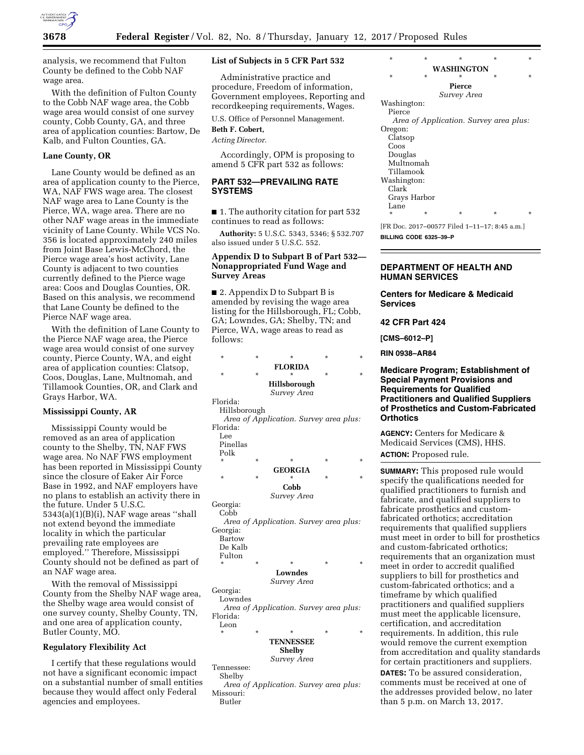

analysis, we recommend that Fulton County be defined to the Cobb NAF wage area.

With the definition of Fulton County to the Cobb NAF wage area, the Cobb wage area would consist of one survey county, Cobb County, GA, and three area of application counties: Bartow, De Kalb, and Fulton Counties, GA.

## **Lane County, OR**

Lane County would be defined as an area of application county to the Pierce, WA, NAF FWS wage area. The closest NAF wage area to Lane County is the Pierce, WA, wage area. There are no other NAF wage areas in the immediate vicinity of Lane County. While VCS No. 356 is located approximately 240 miles from Joint Base Lewis-McChord, the Pierce wage area's host activity, Lane County is adjacent to two counties currently defined to the Pierce wage area: Coos and Douglas Counties, OR. Based on this analysis, we recommend that Lane County be defined to the Pierce NAF wage area.

With the definition of Lane County to the Pierce NAF wage area, the Pierce wage area would consist of one survey county, Pierce County, WA, and eight area of application counties: Clatsop, Coos, Douglas, Lane, Multnomah, and Tillamook Counties, OR, and Clark and Grays Harbor, WA.

#### **Mississippi County, AR**

Mississippi County would be removed as an area of application county to the Shelby, TN, NAF FWS wage area. No NAF FWS employment has been reported in Mississippi County since the closure of Eaker Air Force Base in 1992, and NAF employers have no plans to establish an activity there in the future. Under 5 U.S.C. 5343(a)(1)(B)(i), NAF wage areas ''shall not extend beyond the immediate locality in which the particular prevailing rate employees are employed.'' Therefore, Mississippi County should not be defined as part of an NAF wage area.

With the removal of Mississippi County from the Shelby NAF wage area, the Shelby wage area would consist of one survey county, Shelby County, TN, and one area of application county, Butler County, MO.

## **Regulatory Flexibility Act**

I certify that these regulations would not have a significant economic impact on a substantial number of small entities because they would affect only Federal agencies and employees.

## **List of Subjects in 5 CFR Part 532**

Administrative practice and procedure, Freedom of information, Government employees, Reporting and recordkeeping requirements, Wages.

U.S. Office of Personnel Management.

**Beth F. Cobert,** 

*Acting Director.* 

Accordingly, OPM is proposing to amend 5 CFR part 532 as follows:

# **PART 532—PREVAILING RATE SYSTEMS**

■ 1. The authority citation for part 532 continues to read as follows:

**Authority:** 5 U.S.C. 5343, 5346; § 532.707 also issued under 5 U.S.C. 552.

# **Appendix D to Subpart B of Part 532— Nonappropriated Fund Wage and Survey Areas**

■ 2. Appendix D to Subpart B is amended by revising the wage area listing for the Hillsborough, FL; Cobb, GA; Lowndes, GA; Shelby, TN; and Pierce, WA, wage areas to read as follows:

| 10110WS.     |         |                                        |   |         |
|--------------|---------|----------------------------------------|---|---------|
| $\star$      | $\star$ | $\star$                                | * | $\star$ |
|              |         | <b>FLORIDA</b>                         |   |         |
| $\star$      | $\star$ | *                                      | * | $\star$ |
|              |         | <b>Hillsborough</b><br>Survey Area     |   |         |
| Florida:     |         |                                        |   |         |
| Hillsborough |         |                                        |   |         |
|              |         | Area of Application. Survey area plus: |   |         |
| Florida:     |         |                                        |   |         |
| Lee          |         |                                        |   |         |
| Pinellas     |         |                                        |   |         |
| Polk         |         |                                        |   |         |
| $\star$      | $\star$ | *                                      | * | $\star$ |
|              |         | GEORGIA                                |   |         |
| $\star$      | $\star$ | *                                      | * | $\star$ |
|              |         | Cobb                                   |   |         |
|              |         | Survey Area                            |   |         |
| Georgia:     |         |                                        |   |         |
| Cobb         |         |                                        |   |         |

*Area of Application. Survey area plus:*  Georgia: Bartow

```
De Kalb 
Fulton
```
\* \* \* \* \*

**Lowndes**  *Survey Area* 

Georgia:

Lowndes

*Area of Application. Survey area plus:*  Florida: Leon

## \* \* \* \* \* **TENNESSEE**

**Shelby** 

*Survey Area*  Tennessee:

Shelby

*Area of Application. Survey area plus:*  Missouri: Butler

| ÷           | ÷            | ÷             | ÷                                      | ÷       |  |  |
|-------------|--------------|---------------|----------------------------------------|---------|--|--|
| WASHINGTON  |              |               |                                        |         |  |  |
| $\star$     | $\star$      | *             | $\star$                                | $\star$ |  |  |
|             |              | <b>Pierce</b> |                                        |         |  |  |
|             |              | Survey Area   |                                        |         |  |  |
| Washington: |              |               |                                        |         |  |  |
| Pierce      |              |               |                                        |         |  |  |
|             |              |               | Area of Application. Survey area plus: |         |  |  |
| Oregon:     |              |               |                                        |         |  |  |
| Clatsop     |              |               |                                        |         |  |  |
| Coos        |              |               |                                        |         |  |  |
| Douglas     |              |               |                                        |         |  |  |
| Multnomah   |              |               |                                        |         |  |  |
| Tillamook   |              |               |                                        |         |  |  |
| Washington: |              |               |                                        |         |  |  |
| Clark       |              |               |                                        |         |  |  |
|             | Grays Harbor |               |                                        |         |  |  |
| Lane        |              |               |                                        |         |  |  |
| ÷           | ÷            | ÷             | *                                      | ÷       |  |  |

[FR Doc. 2017–00577 Filed 1–11–17; 8:45 a.m.] **BILLING CODE 6325–39–P** 

# **DEPARTMENT OF HEALTH AND HUMAN SERVICES**

## **Centers for Medicare & Medicaid Services**

### **42 CFR Part 424**

**[CMS–6012–P]** 

**RIN 0938–AR84** 

**Medicare Program; Establishment of Special Payment Provisions and Requirements for Qualified Practitioners and Qualified Suppliers of Prosthetics and Custom-Fabricated Orthotics** 

**AGENCY:** Centers for Medicare & Medicaid Services (CMS), HHS. **ACTION:** Proposed rule.

**SUMMARY:** This proposed rule would specify the qualifications needed for qualified practitioners to furnish and fabricate, and qualified suppliers to fabricate prosthetics and customfabricated orthotics; accreditation requirements that qualified suppliers must meet in order to bill for prosthetics and custom-fabricated orthotics; requirements that an organization must meet in order to accredit qualified suppliers to bill for prosthetics and custom-fabricated orthotics; and a timeframe by which qualified practitioners and qualified suppliers must meet the applicable licensure, certification, and accreditation requirements. In addition, this rule would remove the current exemption from accreditation and quality standards for certain practitioners and suppliers.

**DATES:** To be assured consideration, comments must be received at one of the addresses provided below, no later than 5 p.m. on March 13, 2017.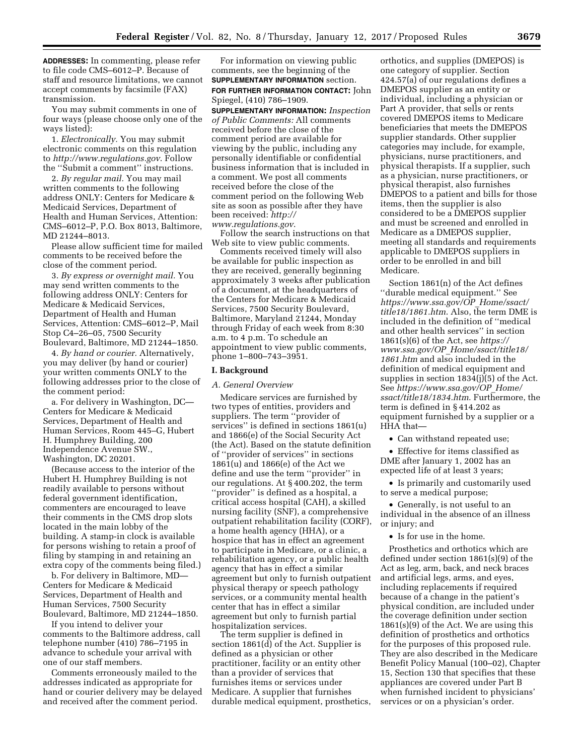**ADDRESSES:** In commenting, please refer to file code CMS–6012–P. Because of staff and resource limitations, we cannot accept comments by facsimile (FAX) transmission.

You may submit comments in one of four ways (please choose only one of the ways listed):

1. *Electronically.* You may submit electronic comments on this regulation to *<http://www.regulations.gov>*. Follow the ''Submit a comment'' instructions.

2. *By regular mail.* You may mail written comments to the following address ONLY: Centers for Medicare & Medicaid Services, Department of Health and Human Services, Attention: CMS–6012–P, P.O. Box 8013, Baltimore, MD 21244–8013.

Please allow sufficient time for mailed comments to be received before the close of the comment period.

3. *By express or overnight mail.* You may send written comments to the following address ONLY: Centers for Medicare & Medicaid Services, Department of Health and Human Services, Attention: CMS–6012–P, Mail Stop C4–26–05, 7500 Security Boulevard, Baltimore, MD 21244–1850.

4. *By hand or courier.* Alternatively, you may deliver (by hand or courier) your written comments ONLY to the following addresses prior to the close of the comment period:

a. For delivery in Washington, DC— Centers for Medicare & Medicaid Services, Department of Health and Human Services, Room 445–G, Hubert H. Humphrey Building, 200 Independence Avenue SW., Washington, DC 20201.

(Because access to the interior of the Hubert H. Humphrey Building is not readily available to persons without federal government identification, commenters are encouraged to leave their comments in the CMS drop slots located in the main lobby of the building. A stamp-in clock is available for persons wishing to retain a proof of filing by stamping in and retaining an extra copy of the comments being filed.)

b. For delivery in Baltimore, MD— Centers for Medicare & Medicaid Services, Department of Health and Human Services, 7500 Security Boulevard, Baltimore, MD 21244–1850.

If you intend to deliver your comments to the Baltimore address, call telephone number (410) 786–7195 in advance to schedule your arrival with one of our staff members.

Comments erroneously mailed to the addresses indicated as appropriate for hand or courier delivery may be delayed and received after the comment period.

For information on viewing public comments, see the beginning of the **SUPPLEMENTARY INFORMATION** section. **FOR FURTHER INFORMATION CONTACT:** John Spiegel, (410) 786–1909.

**SUPPLEMENTARY INFORMATION:** *Inspection of Public Comments:* All comments received before the close of the comment period are available for viewing by the public, including any personally identifiable or confidential business information that is included in a comment. We post all comments received before the close of the comment period on the following Web site as soon as possible after they have been received: *[http://](http://www.regulations.gov) [www.regulations.gov](http://www.regulations.gov)*.

Follow the search instructions on that Web site to view public comments.

Comments received timely will also be available for public inspection as they are received, generally beginning approximately 3 weeks after publication of a document, at the headquarters of the Centers for Medicare & Medicaid Services, 7500 Security Boulevard, Baltimore, Maryland 21244, Monday through Friday of each week from 8:30 a.m. to 4 p.m. To schedule an appointment to view public comments, phone 1–800–743–3951.

#### **I. Background**

## *A. General Overview*

Medicare services are furnished by two types of entities, providers and suppliers. The term ''provider of services'' is defined in sections 1861(u) and 1866(e) of the Social Security Act (the Act). Based on the statute definition of ''provider of services'' in sections 1861(u) and 1866(e) of the Act we define and use the term ''provider'' in our regulations. At § 400.202, the term ''provider'' is defined as a hospital, a critical access hospital (CAH), a skilled nursing facility (SNF), a comprehensive outpatient rehabilitation facility (CORF), a home health agency (HHA), or a hospice that has in effect an agreement to participate in Medicare, or a clinic, a rehabilitation agency, or a public health agency that has in effect a similar agreement but only to furnish outpatient physical therapy or speech pathology services, or a community mental health center that has in effect a similar agreement but only to furnish partial hospitalization services.

The term supplier is defined in section 1861(d) of the Act. Supplier is defined as a physician or other practitioner, facility or an entity other than a provider of services that furnishes items or services under Medicare. A supplier that furnishes durable medical equipment, prosthetics,

orthotics, and supplies (DMEPOS) is one category of supplier. Section 424.57(a) of our regulations defines a DMEPOS supplier as an entity or individual, including a physician or Part A provider, that sells or rents covered DMEPOS items to Medicare beneficiaries that meets the DMEPOS supplier standards. Other supplier categories may include, for example, physicians, nurse practitioners, and physical therapists. If a supplier, such as a physician, nurse practitioners, or physical therapist, also furnishes DMEPOS to a patient and bills for those items, then the supplier is also considered to be a DMEPOS supplier and must be screened and enrolled in Medicare as a DMEPOS supplier, meeting all standards and requirements applicable to DMEPOS suppliers in order to be enrolled in and bill Medicare.

Section 1861(n) of the Act defines ''durable medical equipment.'' See *[https://www.ssa.gov/OP](https://www.ssa.gov/OP_Home/ssact/title18/1861.htm)*\_*Home/ssact/ [title18/1861.htm](https://www.ssa.gov/OP_Home/ssact/title18/1861.htm)*. Also, the term DME is included in the definition of ''medical and other health services'' in section 1861(s)(6) of the Act, see *[https://](https://www.ssa.gov/OP_Home/ssact/title18/1861.htm) www.ssa.gov/OP*\_*[Home/ssact/title18/](https://www.ssa.gov/OP_Home/ssact/title18/1861.htm)*  [1861.htm](https://www.ssa.gov/OP_Home/ssact/title18/1861.htm) and also included in the definition of medical equipment and supplies in section 1834(j)(5) of the Act. See *[https://www.ssa.gov/OP](https://www.ssa.gov/OP_Home/ssact/title18/1834.htm)*\_*Home/ [ssact/title18/1834.htm](https://www.ssa.gov/OP_Home/ssact/title18/1834.htm)*. Furthermore, the term is defined in § 414.202 as equipment furnished by a supplier or a HHA that—

• Can withstand repeated use;

• Effective for items classified as DME after January 1, 2002 has an expected life of at least 3 years;

• Is primarily and customarily used to serve a medical purpose;

• Generally, is not useful to an individual in the absence of an illness or injury; and

• Is for use in the home.

Prosthetics and orthotics which are defined under section 1861(s)(9) of the Act as leg, arm, back, and neck braces and artificial legs, arms, and eyes, including replacements if required because of a change in the patient's physical condition, are included under the coverage definition under section 1861(s)(9) of the Act. We are using this definition of prosthetics and orthotics for the purposes of this proposed rule. They are also described in the Medicare Benefit Policy Manual (100–02), Chapter 15, Section 130 that specifies that these appliances are covered under Part B when furnished incident to physicians' services or on a physician's order.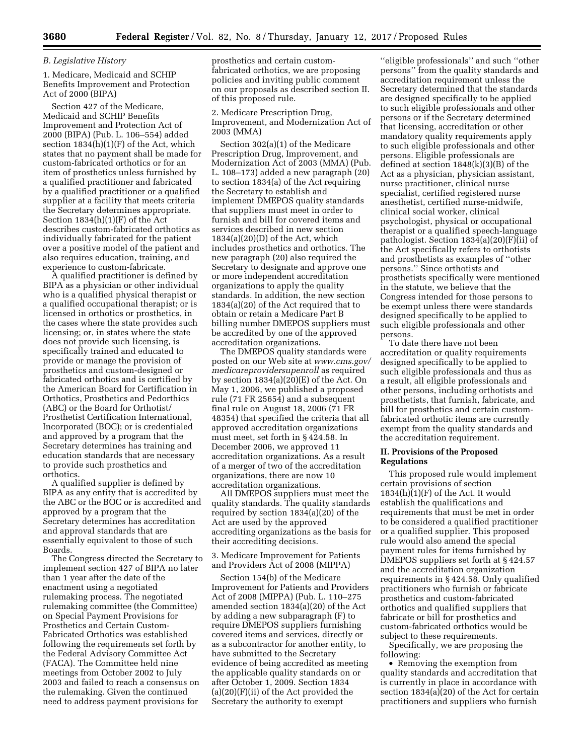### *B. Legislative History*

1. Medicare, Medicaid and SCHIP Benefits Improvement and Protection Act of 2000 (BIPA)

Section 427 of the Medicare, Medicaid and SCHIP Benefits Improvement and Protection Act of 2000 (BIPA) (Pub. L. 106–554) added section 1834(h)(1)(F) of the Act, which states that no payment shall be made for custom-fabricated orthotics or for an item of prosthetics unless furnished by a qualified practitioner and fabricated by a qualified practitioner or a qualified supplier at a facility that meets criteria the Secretary determines appropriate. Section  $1834(h)(1)(F)$  of the Act describes custom-fabricated orthotics as individually fabricated for the patient over a positive model of the patient and also requires education, training, and experience to custom-fabricate.

A qualified practitioner is defined by BIPA as a physician or other individual who is a qualified physical therapist or a qualified occupational therapist; or is licensed in orthotics or prosthetics, in the cases where the state provides such licensing; or, in states where the state does not provide such licensing, is specifically trained and educated to provide or manage the provision of prosthetics and custom-designed or fabricated orthotics and is certified by the American Board for Certification in Orthotics, Prosthetics and Pedorthics (ABC) or the Board for Orthotist/ Prosthetist Certification International, Incorporated (BOC); or is credentialed and approved by a program that the Secretary determines has training and education standards that are necessary to provide such prosthetics and orthotics.

A qualified supplier is defined by BIPA as any entity that is accredited by the ABC or the BOC or is accredited and approved by a program that the Secretary determines has accreditation and approval standards that are essentially equivalent to those of such Boards.

The Congress directed the Secretary to implement section 427 of BIPA no later than 1 year after the date of the enactment using a negotiated rulemaking process. The negotiated rulemaking committee (the Committee) on Special Payment Provisions for Prosthetics and Certain Custom-Fabricated Orthotics was established following the requirements set forth by the Federal Advisory Committee Act (FACA). The Committee held nine meetings from October 2002 to July 2003 and failed to reach a consensus on the rulemaking. Given the continued need to address payment provisions for

prosthetics and certain customfabricated orthotics, we are proposing policies and inviting public comment on our proposals as described section II. of this proposed rule.

2. Medicare Prescription Drug, Improvement, and Modernization Act of 2003 (MMA)

Section 302(a)(1) of the Medicare Prescription Drug, Improvement, and Modernization Act of 2003 (MMA) (Pub. L. 108–173) added a new paragraph (20) to section 1834(a) of the Act requiring the Secretary to establish and implement DMEPOS quality standards that suppliers must meet in order to furnish and bill for covered items and services described in new section  $1834(a)(20)(D)$  of the Act, which includes prosthetics and orthotics. The new paragraph (20) also required the Secretary to designate and approve one or more independent accreditation organizations to apply the quality standards. In addition, the new section 1834(a)(20) of the Act required that to obtain or retain a Medicare Part B billing number DMEPOS suppliers must be accredited by one of the approved accreditation organizations.

The DMEPOS quality standards were posted on our Web site at *[www.cms.gov/](http://www.cms.gov/medicareprovidersupenroll)  [medicareprovidersupenroll](http://www.cms.gov/medicareprovidersupenroll)* as required by section 1834(a)(20)(E) of the Act. On May 1, 2006, we published a proposed rule (71 FR 25654) and a subsequent final rule on August 18, 2006 (71 FR 48354) that specified the criteria that all approved accreditation organizations must meet, set forth in § 424.58. In December 2006, we approved 11 accreditation organizations. As a result of a merger of two of the accreditation organizations, there are now 10 accreditation organizations.

All DMEPOS suppliers must meet the quality standards. The quality standards required by section 1834(a)(20) of the Act are used by the approved accrediting organizations as the basis for their accrediting decisions.

3. Medicare Improvement for Patients and Providers Act of 2008 (MIPPA)

Section 154(b) of the Medicare Improvement for Patients and Providers Act of 2008 (MIPPA) (Pub. L. 110–275 amended section 1834(a)(20) of the Act by adding a new subparagraph (F) to require DMEPOS suppliers furnishing covered items and services, directly or as a subcontractor for another entity, to have submitted to the Secretary evidence of being accredited as meeting the applicable quality standards on or after October 1, 2009. Section 1834  $(a)(20)(F)(ii)$  of the Act provided the Secretary the authority to exempt

''eligible professionals'' and such ''other persons'' from the quality standards and accreditation requirement unless the Secretary determined that the standards are designed specifically to be applied to such eligible professionals and other persons or if the Secretary determined that licensing, accreditation or other mandatory quality requirements apply to such eligible professionals and other persons. Eligible professionals are defined at section 1848(k)(3)(B) of the Act as a physician, physician assistant, nurse practitioner, clinical nurse specialist, certified registered nurse anesthetist, certified nurse-midwife, clinical social worker, clinical psychologist, physical or occupational therapist or a qualified speech-language pathologist. Section 1834(a)(20)(F)(ii) of the Act specifically refers to orthotists and prosthetists as examples of ''other persons.'' Since orthotists and prosthetists specifically were mentioned in the statute, we believe that the Congress intended for those persons to be exempt unless there were standards designed specifically to be applied to such eligible professionals and other persons.

To date there have not been accreditation or quality requirements designed specifically to be applied to such eligible professionals and thus as a result, all eligible professionals and other persons, including orthotists and prosthetists, that furnish, fabricate, and bill for prosthetics and certain customfabricated orthotic items are currently exempt from the quality standards and the accreditation requirement.

## **II. Provisions of the Proposed Regulations**

This proposed rule would implement certain provisions of section  $1834(h)(1)(F)$  of the Act. It would establish the qualifications and requirements that must be met in order to be considered a qualified practitioner or a qualified supplier. This proposed rule would also amend the special payment rules for items furnished by DMEPOS suppliers set forth at § 424.57 and the accreditation organization requirements in § 424.58. Only qualified practitioners who furnish or fabricate prosthetics and custom-fabricated orthotics and qualified suppliers that fabricate or bill for prosthetics and custom-fabricated orthotics would be subject to these requirements.

Specifically, we are proposing the following:

• Removing the exemption from quality standards and accreditation that is currently in place in accordance with section 1834(a)(20) of the Act for certain practitioners and suppliers who furnish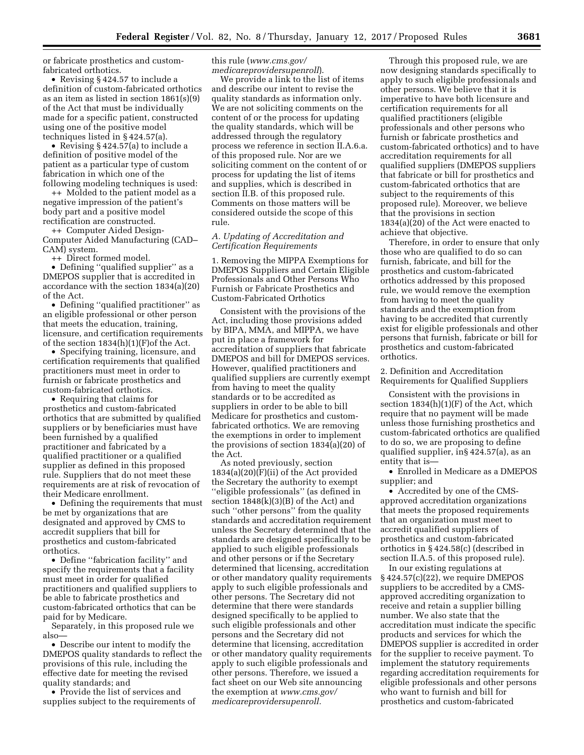or fabricate prosthetics and customfabricated orthotics.

• Revising § 424.57 to include a definition of custom-fabricated orthotics as an item as listed in section 1861(s)(9) of the Act that must be individually made for a specific patient, constructed using one of the positive model techniques listed in § 424.57(a).

• Revising § 424.57(a) to include a definition of positive model of the patient as a particular type of custom fabrication in which one of the following modeling techniques is used:

++ Molded to the patient model as a negative impression of the patient's body part and a positive model rectification are constructed.

++ Computer Aided Design-Computer Aided Manufacturing (CAD– CAM) system.

++ Direct formed model.

• Defining ''qualified supplier'' as a DMEPOS supplier that is accredited in accordance with the section 1834(a)(20) of the Act.

• Defining ''qualified practitioner'' as an eligible professional or other person that meets the education, training, licensure, and certification requirements of the section 1834(h)(1)(F)of the Act.

• Specifying training, licensure, and certification requirements that qualified practitioners must meet in order to furnish or fabricate prosthetics and custom-fabricated orthotics.

• Requiring that claims for prosthetics and custom-fabricated orthotics that are submitted by qualified suppliers or by beneficiaries must have been furnished by a qualified practitioner and fabricated by a qualified practitioner or a qualified supplier as defined in this proposed rule. Suppliers that do not meet these requirements are at risk of revocation of their Medicare enrollment.

• Defining the requirements that must be met by organizations that are designated and approved by CMS to accredit suppliers that bill for prosthetics and custom-fabricated orthotics.

• Define ''fabrication facility'' and specify the requirements that a facility must meet in order for qualified practitioners and qualified suppliers to be able to fabricate prosthetics and custom-fabricated orthotics that can be paid for by Medicare.

Separately, in this proposed rule we also—

• Describe our intent to modify the DMEPOS quality standards to reflect the provisions of this rule, including the effective date for meeting the revised quality standards; and

• Provide the list of services and supplies subject to the requirements of this rule (*[www.cms.gov/](http://www.cms.gov/medicareprovidersupenroll)  [medicareprovidersupenroll](http://www.cms.gov/medicareprovidersupenroll)*).

We provide a link to the list of items and describe our intent to revise the quality standards as information only. We are not soliciting comments on the content of or the process for updating the quality standards, which will be addressed through the regulatory process we reference in section II.A.6.a. of this proposed rule. Nor are we soliciting comment on the content of or process for updating the list of items and supplies, which is described in section II.B. of this proposed rule. Comments on those matters will be considered outside the scope of this rule.

## *A. Updating of Accreditation and Certification Requirements*

1. Removing the MIPPA Exemptions for DMEPOS Suppliers and Certain Eligible Professionals and Other Persons Who Furnish or Fabricate Prosthetics and Custom-Fabricated Orthotics

Consistent with the provisions of the Act, including those provisions added by BIPA, MMA, and MIPPA, we have put in place a framework for accreditation of suppliers that fabricate DMEPOS and bill for DMEPOS services. However, qualified practitioners and qualified suppliers are currently exempt from having to meet the quality standards or to be accredited as suppliers in order to be able to bill Medicare for prosthetics and customfabricated orthotics. We are removing the exemptions in order to implement the provisions of section 1834(a)(20) of the Act.

As noted previously, section 1834(a)(20)(F)(ii) of the Act provided the Secretary the authority to exempt ''eligible professionals'' (as defined in section 1848(k)(3)(B) of the Act) and such ''other persons'' from the quality standards and accreditation requirement unless the Secretary determined that the standards are designed specifically to be applied to such eligible professionals and other persons or if the Secretary determined that licensing, accreditation or other mandatory quality requirements apply to such eligible professionals and other persons. The Secretary did not determine that there were standards designed specifically to be applied to such eligible professionals and other persons and the Secretary did not determine that licensing, accreditation or other mandatory quality requirements apply to such eligible professionals and other persons. Therefore, we issued a fact sheet on our Web site announcing the exemption at *[www.cms.gov/](http://www.cms.gov/medicareprovidersupenroll)  [medicareprovidersupenroll.](http://www.cms.gov/medicareprovidersupenroll)* 

Through this proposed rule, we are now designing standards specifically to apply to such eligible professionals and other persons. We believe that it is imperative to have both licensure and certification requirements for all qualified practitioners (eligible professionals and other persons who furnish or fabricate prosthetics and custom-fabricated orthotics) and to have accreditation requirements for all qualified suppliers (DMEPOS suppliers that fabricate or bill for prosthetics and custom-fabricated orthotics that are subject to the requirements of this proposed rule). Moreover, we believe that the provisions in section 1834(a)(20) of the Act were enacted to achieve that objective.

Therefore, in order to ensure that only those who are qualified to do so can furnish, fabricate, and bill for the prosthetics and custom-fabricated orthotics addressed by this proposed rule, we would remove the exemption from having to meet the quality standards and the exemption from having to be accredited that currently exist for eligible professionals and other persons that furnish, fabricate or bill for prosthetics and custom-fabricated orthotics.

2. Definition and Accreditation Requirements for Qualified Suppliers

Consistent with the provisions in section  $1834(h)(1)(F)$  of the Act, which require that no payment will be made unless those furnishing prosthetics and custom-fabricated orthotics are qualified to do so, we are proposing to define qualified supplier, in§ 424.57(a), as an entity that is—

• Enrolled in Medicare as a DMEPOS supplier; and

• Accredited by one of the CMSapproved accreditation organizations that meets the proposed requirements that an organization must meet to accredit qualified suppliers of prosthetics and custom-fabricated orthotics in § 424.58(c) (described in section II.A.5. of this proposed rule).

In our existing regulations at § 424.57(c)(22), we require DMEPOS suppliers to be accredited by a CMSapproved accrediting organization to receive and retain a supplier billing number. We also state that the accreditation must indicate the specific products and services for which the DMEPOS supplier is accredited in order for the supplier to receive payment. To implement the statutory requirements regarding accreditation requirements for eligible professionals and other persons who want to furnish and bill for prosthetics and custom-fabricated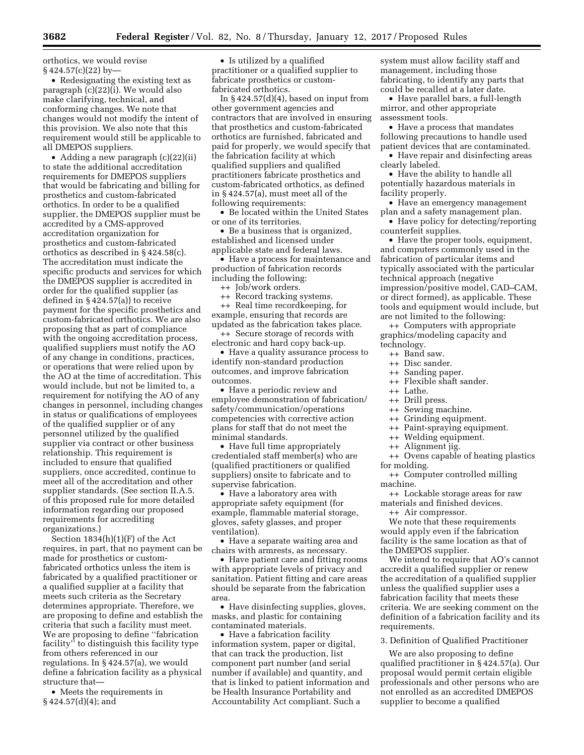orthotics, we would revise  $§$  424.57(c)(22) by-

• Redesignating the existing text as paragraph (c)(22)(i). We would also make clarifying, technical, and conforming changes. We note that changes would not modify the intent of this provision. We also note that this requirement would still be applicable to all DMEPOS suppliers.

• Adding a new paragraph (c)(22)(ii) to state the additional accreditation requirements for DMEPOS suppliers that would be fabricating and billing for prosthetics and custom-fabricated orthotics. In order to be a qualified supplier, the DMEPOS supplier must be accredited by a CMS-approved accreditation organization for prosthetics and custom-fabricated orthotics as described in § 424.58(c). The accreditation must indicate the specific products and services for which the DMEPOS supplier is accredited in order for the qualified supplier (as defined in § 424.57(a)) to receive payment for the specific prosthetics and custom-fabricated orthotics. We are also proposing that as part of compliance with the ongoing accreditation process, qualified suppliers must notify the AO of any change in conditions, practices, or operations that were relied upon by the AO at the time of accreditation. This would include, but not be limited to, a requirement for notifying the AO of any changes in personnel, including changes in status or qualifications of employees of the qualified supplier or of any personnel utilized by the qualified supplier via contract or other business relationship. This requirement is included to ensure that qualified suppliers, once accredited, continue to meet all of the accreditation and other supplier standards. (See section II.A.5. of this proposed rule for more detailed information regarding our proposed requirements for accrediting organizations.)

Section 1834(h)(1)(F) of the Act requires, in part, that no payment can be made for prosthetics or customfabricated orthotics unless the item is fabricated by a qualified practitioner or a qualified supplier at a facility that meets such criteria as the Secretary determines appropriate. Therefore, we are proposing to define and establish the criteria that such a facility must meet. We are proposing to define ''fabrication facility'' to distinguish this facility type from others referenced in our regulations. In § 424.57(a), we would define a fabrication facility as a physical structure that—

• Meets the requirements in § 424.57(d)(4); and

• Is utilized by a qualified practitioner or a qualified supplier to fabricate prosthetics or customfabricated orthotics.

In  $§$  424.57(d)(4), based on input from other government agencies and contractors that are involved in ensuring that prosthetics and custom-fabricated orthotics are furnished, fabricated and paid for properly, we would specify that the fabrication facility at which qualified suppliers and qualified practitioners fabricate prosthetics and custom-fabricated orthotics, as defined in § 424.57(a), must meet all of the following requirements:

• Be located within the United States or one of its territories.

• Be a business that is organized, established and licensed under applicable state and federal laws.

• Have a process for maintenance and production of fabrication records including the following:

++ Job/work orders.

++ Record tracking systems. ++ Real time recordkeeping, for

example, ensuring that records are updated as the fabrication takes place. ++ Secure storage of records with

electronic and hard copy back-up. • Have a quality assurance process to

identify non-standard production outcomes, and improve fabrication outcomes.

• Have a periodic review and employee demonstration of fabrication/ safety/communication/operations competencies with corrective action plans for staff that do not meet the minimal standards.

• Have full time appropriately credentialed staff member(s) who are (qualified practitioners or qualified suppliers) onsite to fabricate and to supervise fabrication.

• Have a laboratory area with appropriate safety equipment (for example, flammable material storage, gloves, safety glasses, and proper ventilation).

• Have a separate waiting area and chairs with armrests, as necessary.

• Have patient care and fitting rooms with appropriate levels of privacy and sanitation. Patient fitting and care areas should be separate from the fabrication area.

• Have disinfecting supplies, gloves, masks, and plastic for containing contaminated materials.

• Have a fabrication facility information system, paper or digital, that can track the production, list component part number (and serial number if available) and quantity, and that is linked to patient information and be Health Insurance Portability and Accountability Act compliant. Such a

system must allow facility staff and management, including those fabricating, to identify any parts that could be recalled at a later date.

• Have parallel bars, a full-length mirror, and other appropriate assessment tools.

• Have a process that mandates following precautions to handle used patient devices that are contaminated.

• Have repair and disinfecting areas clearly labeled.

• Have the ability to handle all potentially hazardous materials in facility properly.

• Have an emergency management plan and a safety management plan.

• Have policy for detecting/reporting counterfeit supplies.

• Have the proper tools, equipment, and computers commonly used in the fabrication of particular items and typically associated with the particular technical approach (negative impression/positive model, CAD–CAM, or direct formed), as applicable. These tools and equipment would include, but are not limited to the following:

++ Computers with appropriate graphics/modeling capacity and technology.

- ++ Band saw.
- ++ Disc sander.
- 
- ++ Sanding paper.
- ++ Flexible shaft sander.
- ++ Lathe.
- ++ Drill press.
- ++ Sewing machine.
- ++ Grinding equipment.
- ++ Paint-spraying equipment.
- ++ Welding equipment.
- ++ Alignment jig.
- ++ Ovens capable of heating plastics for molding.
- ++ Computer controlled milling machine.

++ Lockable storage areas for raw materials and finished devices.

++ Air compressor.

We note that these requirements would apply even if the fabrication facility is the same location as that of the DMEPOS supplier.

We intend to require that AO's cannot accredit a qualified supplier or renew the accreditation of a qualified supplier unless the qualified supplier uses a fabrication facility that meets these criteria. We are seeking comment on the definition of a fabrication facility and its requirements.

3. Definition of Qualified Practitioner

We are also proposing to define qualified practitioner in § 424.57(a). Our proposal would permit certain eligible professionals and other persons who are not enrolled as an accredited DMEPOS supplier to become a qualified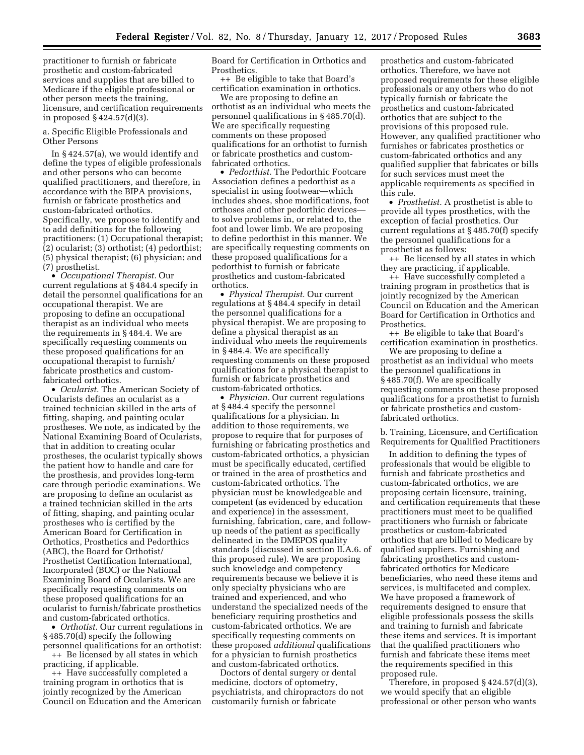practitioner to furnish or fabricate prosthetic and custom-fabricated services and supplies that are billed to Medicare if the eligible professional or other person meets the training, licensure, and certification requirements in proposed § 424.57(d)(3).

a. Specific Eligible Professionals and Other Persons

In § 424.57(a), we would identify and define the types of eligible professionals and other persons who can become qualified practitioners, and therefore, in accordance with the BIPA provisions, furnish or fabricate prosthetics and custom-fabricated orthotics. Specifically, we propose to identify and to add definitions for the following practitioners: (1) Occupational therapist; (2) ocularist; (3) orthotist; (4) pedorthist; (5) physical therapist; (6) physician; and (7) prosthetist.

• *Occupational Therapist.* Our current regulations at § 484.4 specify in detail the personnel qualifications for an occupational therapist. We are proposing to define an occupational therapist as an individual who meets the requirements in § 484.4. We are specifically requesting comments on these proposed qualifications for an occupational therapist to furnish/ fabricate prosthetics and customfabricated orthotics.

• *Ocularist.* The American Society of Ocularists defines an ocularist as a trained technician skilled in the arts of fitting, shaping, and painting ocular prostheses. We note, as indicated by the National Examining Board of Ocularists, that in addition to creating ocular prostheses, the ocularist typically shows the patient how to handle and care for the prosthesis, and provides long-term care through periodic examinations. We are proposing to define an ocularist as a trained technician skilled in the arts of fitting, shaping, and painting ocular prostheses who is certified by the American Board for Certification in Orthotics, Prosthetics and Pedorthics (ABC), the Board for Orthotist/ Prosthetist Certification International, Incorporated (BOC) or the National Examining Board of Ocularists. We are specifically requesting comments on these proposed qualifications for an ocularist to furnish/fabricate prosthetics and custom-fabricated orthotics.

• *Orthotist.* Our current regulations in § 485.70(d) specify the following personnel qualifications for an orthotist:

++ Be licensed by all states in which practicing, if applicable.

++ Have successfully completed a training program in orthotics that is jointly recognized by the American Council on Education and the American Board for Certification in Orthotics and Prosthetics.

++ Be eligible to take that Board's certification examination in orthotics.

We are proposing to define an orthotist as an individual who meets the personnel qualifications in § 485.70(d). We are specifically requesting comments on these proposed qualifications for an orthotist to furnish or fabricate prosthetics and customfabricated orthotics.

• *Pedorthist.* The Pedorthic Footcare Association defines a pedorthist as a specialist in using footwear—which includes shoes, shoe modifications, foot orthoses and other pedorthic devices to solve problems in, or related to, the foot and lower limb. We are proposing to define pedorthist in this manner. We are specifically requesting comments on these proposed qualifications for a pedorthist to furnish or fabricate prosthetics and custom-fabricated orthotics.

• *Physical Therapist.* Our current regulations at § 484.4 specify in detail the personnel qualifications for a physical therapist. We are proposing to define a physical therapist as an individual who meets the requirements in § 484.4. We are specifically requesting comments on these proposed qualifications for a physical therapist to furnish or fabricate prosthetics and custom-fabricated orthotics.

• *Physician.* Our current regulations at § 484.4 specify the personnel qualifications for a physician. In addition to those requirements, we propose to require that for purposes of furnishing or fabricating prosthetics and custom-fabricated orthotics, a physician must be specifically educated, certified or trained in the area of prosthetics and custom-fabricated orthotics. The physician must be knowledgeable and competent (as evidenced by education and experience) in the assessment, furnishing, fabrication, care, and followup needs of the patient as specifically delineated in the DMEPOS quality standards (discussed in section II.A.6. of this proposed rule). We are proposing such knowledge and competency requirements because we believe it is only specialty physicians who are trained and experienced, and who understand the specialized needs of the beneficiary requiring prosthetics and custom-fabricated orthotics. We are specifically requesting comments on these proposed *additional* qualifications for a physician to furnish prosthetics and custom-fabricated orthotics.

Doctors of dental surgery or dental medicine, doctors of optometry, psychiatrists, and chiropractors do not customarily furnish or fabricate

prosthetics and custom-fabricated orthotics. Therefore, we have not proposed requirements for these eligible professionals or any others who do not typically furnish or fabricate the prosthetics and custom-fabricated orthotics that are subject to the provisions of this proposed rule. However, any qualified practitioner who furnishes or fabricates prosthetics or custom-fabricated orthotics and any qualified supplier that fabricates or bills for such services must meet the applicable requirements as specified in this rule.

• *Prosthetist.* A prosthetist is able to provide all types prosthetics, with the exception of facial prosthetics. Our current regulations at § 485.70(f) specify the personnel qualifications for a prosthetist as follows:

++ Be licensed by all states in which they are practicing, if applicable.

++ Have successfully completed a training program in prosthetics that is jointly recognized by the American Council on Education and the American Board for Certification in Orthotics and Prosthetics.

++ Be eligible to take that Board's certification examination in prosthetics.

We are proposing to define a prosthetist as an individual who meets the personnel qualifications in § 485.70(f). We are specifically requesting comments on these proposed qualifications for a prosthetist to furnish or fabricate prosthetics and customfabricated orthotics.

b. Training, Licensure, and Certification Requirements for Qualified Practitioners

In addition to defining the types of professionals that would be eligible to furnish and fabricate prosthetics and custom-fabricated orthotics, we are proposing certain licensure, training, and certification requirements that these practitioners must meet to be qualified practitioners who furnish or fabricate prosthetics or custom-fabricated orthotics that are billed to Medicare by qualified suppliers. Furnishing and fabricating prosthetics and customfabricated orthotics for Medicare beneficiaries, who need these items and services, is multifaceted and complex. We have proposed a framework of requirements designed to ensure that eligible professionals possess the skills and training to furnish and fabricate these items and services. It is important that the qualified practitioners who furnish and fabricate these items meet the requirements specified in this proposed rule.

Therefore, in proposed § 424.57(d)(3), we would specify that an eligible professional or other person who wants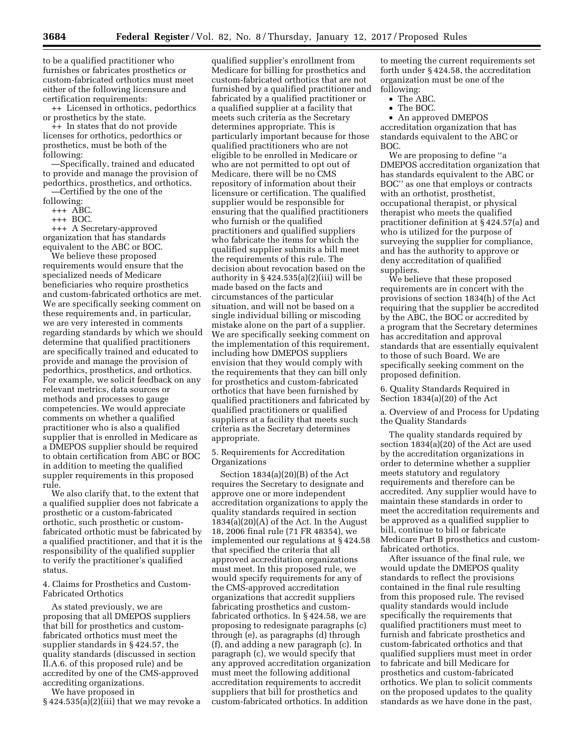to be a qualified practitioner who furnishes or fabricates prosthetics or custom-fabricated orthotics must meet either of the following licensure and certification requirements:

++ Licensed in orthotics, pedorthics or prosthetics by the state.

++ In states that do not provide licenses for orthotics, pedorthics or prosthetics, must be both of the following:

—Specifically, trained and educated to provide and manage the provision of pedorthics, prosthetics, and orthotics. —Certified by the one of the

following:

+++ ABC.

+++ BOC.

+++ A Secretary-approved organization that has standards equivalent to the ABC or BOC.

We believe these proposed requirements would ensure that the specialized needs of Medicare beneficiaries who require prosthetics and custom-fabricated orthotics are met. We are specifically seeking comment on these requirements and, in particular, we are very interested in comments regarding standards by which we should determine that qualified practitioners are specifically trained and educated to provide and manage the provision of pedorthics, prosthetics, and orthotics. For example, we solicit feedback on any relevant metrics, data sources or methods and processes to gauge competencies. We would appreciate comments on whether a qualified practitioner who is also a qualified supplier that is enrolled in Medicare as a DMEPOS supplier should be required to obtain certification from ABC or BOC in addition to meeting the qualified suppler requirements in this proposed rule.

We also clarify that, to the extent that a qualified supplier does not fabricate a prosthetic or a custom-fabricated orthotic, such prosthetic or customfabricated orthotic must be fabricated by a qualified practitioner, and that it is the responsibility of the qualified supplier to verify the practitioner's qualified status.

4. Claims for Prosthetics and Custom-Fabricated Orthotics

As stated previously, we are proposing that all DMEPOS suppliers that bill for prosthetics and customfabricated orthotics must meet the supplier standards in § 424.57, the quality standards (discussed in section II.A.6. of this proposed rule) and be accredited by one of the CMS-approved accrediting organizations.

We have proposed in

 $§$  424.535(a)(2)(iii) that we may revoke a

qualified supplier's enrollment from Medicare for billing for prosthetics and custom-fabricated orthotics that are not furnished by a qualified practitioner and fabricated by a qualified practitioner or a qualified supplier at a facility that meets such criteria as the Secretary determines appropriate. This is particularly important because for those qualified practitioners who are not eligible to be enrolled in Medicare or who are not permitted to opt out of Medicare, there will be no CMS repository of information about their licensure or certification. The qualified supplier would be responsible for ensuring that the qualified practitioners who furnish or the qualified practitioners and qualified suppliers who fabricate the items for which the qualified supplier submits a bill meet the requirements of this rule. The decision about revocation based on the authority in § 424.535(a)(2)(iii) will be made based on the facts and circumstances of the particular situation, and will not be based on a single individual billing or miscoding mistake alone on the part of a supplier. We are specifically seeking comment on the implementation of this requirement, including how DMEPOS suppliers envision that they would comply with the requirements that they can bill only for prosthetics and custom-fabricated orthotics that have been furnished by qualified practitioners and fabricated by qualified practitioners or qualified suppliers at a facility that meets such criteria as the Secretary determines appropriate.

5. Requirements for Accreditation Organizations

Section 1834(a)(20)(B) of the Act requires the Secretary to designate and approve one or more independent accreditation organizations to apply the quality standards required in section 1834(a)(20)(A) of the Act. In the August 18, 2006 final rule (71 FR 48354), we implemented our regulations at § 424.58 that specified the criteria that all approved accreditation organizations must meet. In this proposed rule, we would specify requirements for any of the CMS-approved accreditation organizations that accredit suppliers fabricating prosthetics and customfabricated orthotics. In § 424.58, we are proposing to redesignate paragraphs (c) through (e), as paragraphs (d) through (f), and adding a new paragraph (c). In paragraph (c), we would specify that any approved accreditation organization must meet the following additional accreditation requirements to accredit suppliers that bill for prosthetics and custom-fabricated orthotics. In addition

to meeting the current requirements set forth under § 424.58, the accreditation organization must be one of the following:

- The ABC.
- The BOC.

• An approved DMEPOS accreditation organization that has standards equivalent to the ABC or BOC.

We are proposing to define ''a DMEPOS accreditation organization that has standards equivalent to the ABC or BOC'' as one that employs or contracts with an orthotist, prosthetist, occupational therapist, or physical therapist who meets the qualified practitioner definition at § 424.57(a) and who is utilized for the purpose of surveying the supplier for compliance, and has the authority to approve or deny accreditation of qualified suppliers.

We believe that these proposed requirements are in concert with the provisions of section 1834(h) of the Act requiring that the supplier be accredited by the ABC, the BOC or accredited by a program that the Secretary determines has accreditation and approval standards that are essentially equivalent to those of such Board. We are specifically seeking comment on the proposed definition.

6. Quality Standards Required in Section 1834(a)(20) of the Act

a. Overview of and Process for Updating the Quality Standards

The quality standards required by section 1834(a)(20) of the Act are used by the accreditation organizations in order to determine whether a supplier meets statutory and regulatory requirements and therefore can be accredited. Any supplier would have to maintain these standards in order to meet the accreditation requirements and be approved as a qualified supplier to bill, continue to bill or fabricate Medicare Part B prosthetics and customfabricated orthotics.

After issuance of the final rule, we would update the DMEPOS quality standards to reflect the provisions contained in the final rule resulting from this proposed rule. The revised quality standards would include specifically the requirements that qualified practitioners must meet to furnish and fabricate prosthetics and custom-fabricated orthotics and that qualified suppliers must meet in order to fabricate and bill Medicare for prosthetics and custom-fabricated orthotics. We plan to solicit comments on the proposed updates to the quality standards as we have done in the past,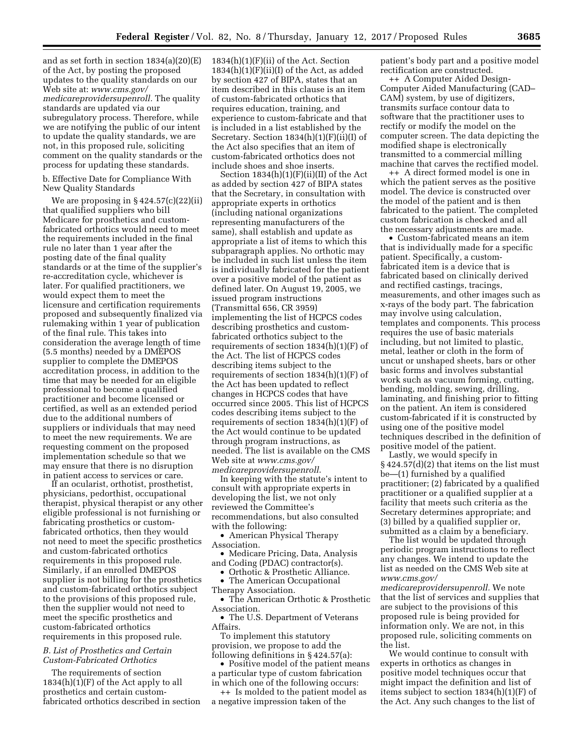and as set forth in section 1834(a)(20)(E) of the Act, by posting the proposed updates to the quality standards on our Web site at: *[www.cms.gov/](http://www.cms.gov/medicareprovidersupenroll) [medicareprovidersupenroll.](http://www.cms.gov/medicareprovidersupenroll)* The quality standards are updated via our subregulatory process. Therefore, while we are notifying the public of our intent to update the quality standards, we are not, in this proposed rule, soliciting comment on the quality standards or the process for updating these standards.

b. Effective Date for Compliance With New Quality Standards

We are proposing in § 424.57(c)(22)(ii) that qualified suppliers who bill Medicare for prosthetics and customfabricated orthotics would need to meet the requirements included in the final rule no later than 1 year after the posting date of the final quality standards or at the time of the supplier's re-accreditation cycle, whichever is later. For qualified practitioners, we would expect them to meet the licensure and certification requirements proposed and subsequently finalized via rulemaking within 1 year of publication of the final rule. This takes into consideration the average length of time (5.5 months) needed by a DMEPOS supplier to complete the DMEPOS accreditation process, in addition to the time that may be needed for an eligible professional to become a qualified practitioner and become licensed or certified, as well as an extended period due to the additional numbers of suppliers or individuals that may need to meet the new requirements. We are requesting comment on the proposed implementation schedule so that we may ensure that there is no disruption in patient access to services or care.

If an ocularist, orthotist, prosthetist, physicians, pedorthist, occupational therapist, physical therapist or any other eligible professional is not furnishing or fabricating prosthetics or customfabricated orthotics, then they would not need to meet the specific prosthetics and custom-fabricated orthotics requirements in this proposed rule. Similarly, if an enrolled DMEPOS supplier is not billing for the prosthetics and custom-fabricated orthotics subject to the provisions of this proposed rule, then the supplier would not need to meet the specific prosthetics and custom-fabricated orthotics requirements in this proposed rule.

## *B. List of Prosthetics and Certain Custom-Fabricated Orthotics*

The requirements of section 1834(h)(1)(F) of the Act apply to all prosthetics and certain customfabricated orthotics described in section 1834(h)(1)(F)(ii) of the Act. Section  $1834(h)(1)(F)(ii)(I)$  of the Act, as added by section 427 of BIPA, states that an item described in this clause is an item of custom-fabricated orthotics that requires education, training, and experience to custom-fabricate and that is included in a list established by the Secretary. Section 1834(h)(1)(F)(ii)(I) of the Act also specifies that an item of custom-fabricated orthotics does not include shoes and shoe inserts.

Section 1834(h)(1)(F)(ii)(II) of the Act as added by section 427 of BIPA states that the Secretary, in consultation with appropriate experts in orthotics (including national organizations representing manufacturers of the same), shall establish and update as appropriate a list of items to which this subparagraph applies. No orthotic may be included in such list unless the item is individually fabricated for the patient over a positive model of the patient as defined later. On August 19, 2005, we issued program instructions (Transmittal 656, CR 3959) implementing the list of HCPCS codes describing prosthetics and customfabricated orthotics subject to the requirements of section 1834(h)(1)(F) of the Act. The list of HCPCS codes describing items subject to the requirements of section 1834(h)(1)(F) of the Act has been updated to reflect changes in HCPCS codes that have occurred since 2005. This list of HCPCS codes describing items subject to the requirements of section 1834(h)(1)(F) of the Act would continue to be updated through program instructions, as needed. The list is available on the CMS Web site at *[www.cms.gov/](http://www.cms.gov/medicareprovidersupenroll)  [medicareprovidersupenroll](http://www.cms.gov/medicareprovidersupenroll)*.

In keeping with the statute's intent to consult with appropriate experts in developing the list, we not only reviewed the Committee's recommendations, but also consulted with the following:

• American Physical Therapy Association.

• Medicare Pricing, Data, Analysis and Coding (PDAC) contractor(s).

• Orthotic & Prosthetic Alliance. • The American Occupational

Therapy Association. • The American Orthotic & Prosthetic

Association.

• The U.S. Department of Veterans Affairs.

To implement this statutory provision, we propose to add the following definitions in § 424.57(a):

• Positive model of the patient means a particular type of custom fabrication in which one of the following occurs:

++ Is molded to the patient model as a negative impression taken of the

patient's body part and a positive model rectification are constructed.

++ A Computer Aided Design-Computer Aided Manufacturing (CAD– CAM) system, by use of digitizers, transmits surface contour data to software that the practitioner uses to rectify or modify the model on the computer screen. The data depicting the modified shape is electronically transmitted to a commercial milling machine that carves the rectified model.

++ A direct formed model is one in which the patient serves as the positive model. The device is constructed over the model of the patient and is then fabricated to the patient. The completed custom fabrication is checked and all the necessary adjustments are made.

• Custom-fabricated means an item that is individually made for a specific patient. Specifically, a customfabricated item is a device that is fabricated based on clinically derived and rectified castings, tracings, measurements, and other images such as x-rays of the body part. The fabrication may involve using calculation, templates and components. This process requires the use of basic materials including, but not limited to plastic, metal, leather or cloth in the form of uncut or unshaped sheets, bars or other basic forms and involves substantial work such as vacuum forming, cutting, bending, molding, sewing, drilling, laminating, and finishing prior to fitting on the patient. An item is considered custom-fabricated if it is constructed by using one of the positive model techniques described in the definition of positive model of the patient.

Lastly, we would specify in § 424.57(d)(2) that items on the list must be—(1) furnished by a qualified practitioner; (2) fabricated by a qualified practitioner or a qualified supplier at a facility that meets such criteria as the Secretary determines appropriate; and (3) billed by a qualified supplier or, submitted as a claim by a beneficiary.

The list would be updated through periodic program instructions to reflect any changes. We intend to update the list as needed on the CMS Web site at *[www.cms.gov/](http://www.cms.gov/medicareprovidersupenroll)* 

*[medicareprovidersupenroll.](http://www.cms.gov/medicareprovidersupenroll)* We note that the list of services and supplies that are subject to the provisions of this proposed rule is being provided for information only. We are not, in this proposed rule, soliciting comments on the list.

We would continue to consult with experts in orthotics as changes in positive model techniques occur that might impact the definition and list of items subject to section 1834(h)(1)(F) of the Act. Any such changes to the list of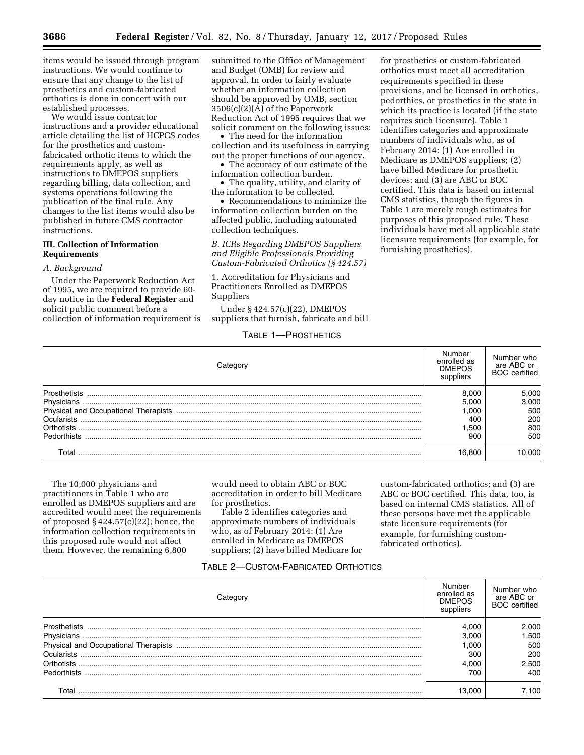items would be issued through program instructions. We would continue to ensure that any change to the list of prosthetics and custom-fabricated orthotics is done in concert with our established processes.

We would issue contractor instructions and a provider educational article detailing the list of HCPCS codes for the prosthetics and customfabricated orthotic items to which the requirements apply, as well as instructions to DMEPOS suppliers regarding billing, data collection, and systems operations following the publication of the final rule. Any changes to the list items would also be published in future CMS contractor instructions.

## **III. Collection of Information Requirements**

#### *A. Background*

Under the Paperwork Reduction Act of 1995, we are required to provide 60 day notice in the **Federal Register** and solicit public comment before a collection of information requirement is submitted to the Office of Management and Budget (OMB) for review and approval. In order to fairly evaluate whether an information collection should be approved by OMB, section 3506(c)(2)(A) of the Paperwork Reduction Act of 1995 requires that we solicit comment on the following issues:

The need for the information collection and its usefulness in carrying out the proper functions of our agency.

• The accuracy of our estimate of the information collection burden.

• The quality, utility, and clarity of the information to be collected.

• Recommendations to minimize the information collection burden on the affected public, including automated collection techniques.

*B. ICRs Regarding DMEPOS Suppliers and Eligible Professionals Providing Custom-Fabricated Orthotics (§ 424.57)* 

1. Accreditation for Physicians and Practitioners Enrolled as DMEPOS Suppliers

Under § 424.57(c)(22), DMEPOS suppliers that furnish, fabricate and bill

for prosthetics or custom-fabricated orthotics must meet all accreditation requirements specified in these provisions, and be licensed in orthotics, pedorthics, or prosthetics in the state in which its practice is located (if the state requires such licensure). Table 1 identifies categories and approximate numbers of individuals who, as of February 2014: (1) Are enrolled in Medicare as DMEPOS suppliers; (2) have billed Medicare for prosthetic devices; and (3) are ABC or BOC certified. This data is based on internal CMS statistics, though the figures in Table 1 are merely rough estimates for purposes of this proposed rule. These individuals have met all applicable state licensure requirements (for example, for furnishing prosthetics).

## TABLE 1—PROSTHETICS

| ateno               | Number<br>enrolled as<br><b>DMEPOS</b><br>suppliers | Number who<br>are ABC or<br><b>BOC</b> certified |
|---------------------|-----------------------------------------------------|--------------------------------------------------|
| <b>Prosthetists</b> | 8.000                                               | 5,000                                            |
|                     | 5.000                                               | 3.000                                            |
|                     | .000                                                | 500                                              |
| Ocularists          | 400                                                 | 200                                              |
|                     | .500                                                | 800                                              |
| <b>Pedorthists</b>  | 900                                                 | 500                                              |
|                     | 16.800                                              | იიი                                              |

The 10,000 physicians and practitioners in Table 1 who are enrolled as DMEPOS suppliers and are accredited would meet the requirements of proposed  $\S 424.57(c)(22)$ ; hence, the information collection requirements in this proposed rule would not affect them. However, the remaining 6,800

would need to obtain ABC or BOC accreditation in order to bill Medicare for prosthetics.

Table 2 identifies categories and approximate numbers of individuals who, as of February 2014: (1) Are enrolled in Medicare as DMEPOS suppliers; (2) have billed Medicare for custom-fabricated orthotics; and (3) are ABC or BOC certified. This data, too, is based on internal CMS statistics. All of these persons have met the applicable state licensure requirements (for example, for furnishing customfabricated orthotics).

### TABLE 2—CUSTOM-FABRICATED ORTHOTICS

| ategor-      | Number<br>enrolled as<br><b>DMEPOS</b><br>suppliers | Number who<br>are ABC or<br><b>BOC</b> certified |
|--------------|-----------------------------------------------------|--------------------------------------------------|
| Prosthetists | 4.000                                               | 2.000                                            |
| Physicians   | 3.000                                               | .500                                             |
|              | 1.00C                                               | 500                                              |
| Ocularists   | 300                                                 | 200                                              |
| Orthotists   | 4.000                                               | 2,500                                            |
| Pedorthists  | 70C                                                 | 400                                              |
| Γ∩tal        | 13.000                                              | 7.100                                            |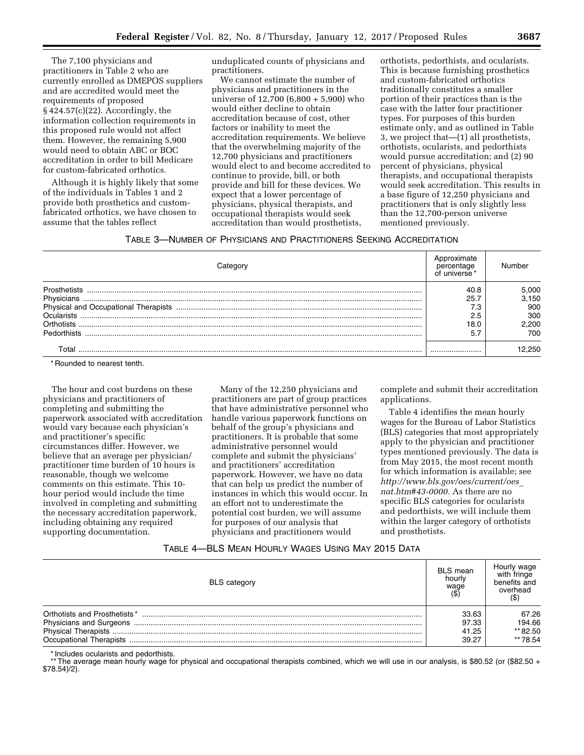The 7,100 physicians and practitioners in Table 2 who are currently enrolled as DMEPOS suppliers and are accredited would meet the requirements of proposed § 424.57(c)(22). Accordingly, the information collection requirements in this proposed rule would not affect them. However, the remaining 5,900 would need to obtain ABC or BOC accreditation in order to bill Medicare for custom-fabricated orthotics.

Although it is highly likely that some of the individuals in Tables 1 and 2 provide both prosthetics and customfabricated orthotics, we have chosen to assume that the tables reflect

unduplicated counts of physicians and practitioners.

We cannot estimate the number of physicians and practitioners in the universe of 12,700 (6,800 + 5,900) who would either decline to obtain accreditation because of cost, other factors or inability to meet the accreditation requirements. We believe that the overwhelming majority of the 12,700 physicians and practitioners would elect to and become accredited to continue to provide, bill, or both provide and bill for these devices. We expect that a lower percentage of physicians, physical therapists, and occupational therapists would seek accreditation than would prosthetists,

orthotists, pedorthists, and ocularists. This is because furnishing prosthetics and custom-fabricated orthotics traditionally constitutes a smaller portion of their practices than is the case with the latter four practitioner types. For purposes of this burden estimate only, and as outlined in Table 3, we project that—(1) all prosthetists, orthotists, ocularists, and pedorthists would pursue accreditation; and (2) 90 percent of physicians, physical therapists, and occupational therapists would seek accreditation. This results in a base figure of 12,250 physicians and practitioners that is only slightly less than the 12,700-person universe mentioned previously.

# TABLE 3—NUMBER OF PHYSICIANS AND PRACTITIONERS SEEKING ACCREDITATION

|              |          | 5.000 |
|--------------|----------|-------|
|              | 25       | .150  |
|              |          | 900   |
| ่ ∩cularists | ◠<br>2.5 | 300   |
|              | 18 (     | 200   |
| Pedorthists  |          | 700   |
|              |          |       |

\* Rounded to nearest tenth.

The hour and cost burdens on these physicians and practitioners of completing and submitting the paperwork associated with accreditation would vary because each physician's and practitioner's specific circumstances differ. However, we believe that an average per physician/ practitioner time burden of 10 hours is reasonable, though we welcome comments on this estimate. This 10 hour period would include the time involved in completing and submitting the necessary accreditation paperwork, including obtaining any required supporting documentation.

Many of the 12,250 physicians and practitioners are part of group practices that have administrative personnel who handle various paperwork functions on behalf of the group's physicians and practitioners. It is probable that some administrative personnel would complete and submit the physicians' and practitioners' accreditation paperwork. However, we have no data that can help us predict the number of instances in which this would occur. In an effort not to underestimate the potential cost burden, we will assume for purposes of our analysis that physicians and practitioners would

complete and submit their accreditation applications.

Table 4 identifies the mean hourly wages for the Bureau of Labor Statistics (BLS) categories that most appropriately apply to the physician and practitioner types mentioned previously. The data is from May 2015, the most recent month for which information is available; see *[http://www.bls.gov/oes/current/oes](http://www.bls.gov/oes/current/oes_nat.htm#43-0000)*\_ *[nat.htm#43-0000.](http://www.bls.gov/oes/current/oes_nat.htm#43-0000)* As there are no specific BLS categories for ocularists and pedorthists, we will include them within the larger category of orthotists and prosthetists.

# TABLE 4—BLS MEAN HOURLY WAGES USING MAY 2015 DATA

| <b>BLS</b> category           | <b>BLS</b> mean<br>hourly<br>wage | Hourly waqe<br>with fringe<br>benefits and<br>overhead |
|-------------------------------|-----------------------------------|--------------------------------------------------------|
| Orthotists and Prosthetists * | 33.63                             | 67.26                                                  |
|                               | 97.33                             | 194.66                                                 |
|                               | 41.25                             | ** 82.50                                               |
| Occupational Therapists       | 39.27                             | ** 78.54                                               |

\* Includes ocularists and pedorthists.

\*\* The average mean hourly wage for physical and occupational therapists combined, which we will use in our analysis, is \$80.52 (or (\$82.50 + \$78.54)/2).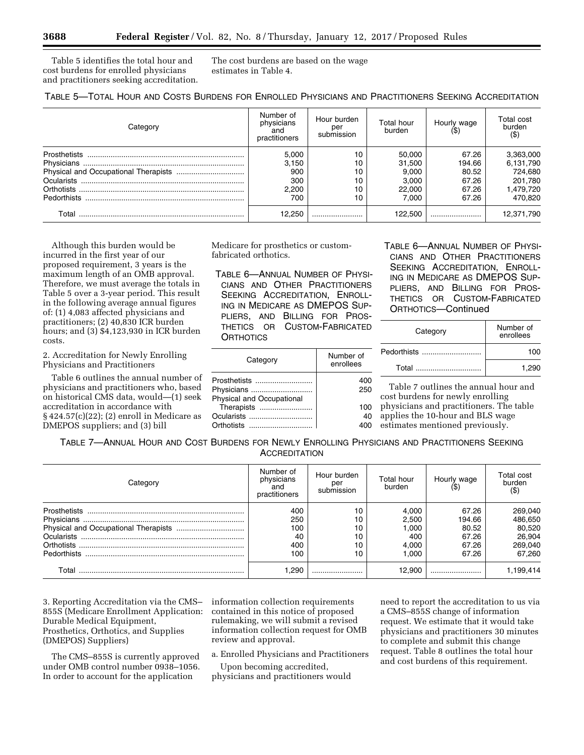Table 5 identifies the total hour and cost burdens for enrolled physicians and practitioners seeking accreditation. The cost burdens are based on the wage estimates in Table 4.

| Category     | Number of<br>physicians<br>and<br>practitioners | Hour burden<br>per<br>submission | Total hour<br>burden | Hourly wage | Total cost<br>burden<br>$($ \$ |
|--------------|-------------------------------------------------|----------------------------------|----------------------|-------------|--------------------------------|
| Prosthetists | 5.000                                           | 10                               | 50.000               | 67.26       | 3,363,000                      |
|              | 3.150                                           |                                  | 31,500               | 194.66      | 6,131,790                      |
|              | 900                                             | 10                               | 9.000                | 80.52       | 724.680                        |
|              | 300                                             | 10                               | 3,000                | 67.26       | 201,780                        |
|              | 2.200                                           | 10                               | 22,000               | 67.26       | 1,479,720                      |
| Pedorthists  | 700                                             | 10                               | 7.000                | 67.26       | 470,820                        |
| Г∩tal        | 12.250                                          |                                  | 122.500              |             | 12,371,790                     |

Although this burden would be incurred in the first year of our proposed requirement, 3 years is the maximum length of an OMB approval. Therefore, we must average the totals in Table 5 over a 3-year period. This result in the following average annual figures of: (1) 4,083 affected physicians and practitioners; (2) 40,830 ICR burden hours; and (3) \$4,123,930 in ICR burden costs.

2. Accreditation for Newly Enrolling Physicians and Practitioners

Table 6 outlines the annual number of physicians and practitioners who, based on historical CMS data, would—(1) seek accreditation in accordance with § 424.57(c)(22); (2) enroll in Medicare as DMEPOS suppliers; and (3) bill

Medicare for prosthetics or customfabricated orthotics.

TABLE 6—ANNUAL NUMBER OF PHYSI-CIANS AND OTHER PRACTITIONERS SEEKING ACCREDITATION, ENROLL-ING IN MEDICARE AS DMEPOS SUP-PLIERS, AND BILLING FOR PROS-THETICS OR CUSTOM-FABRICATED **ORTHOTICS** 

| Category                         | Number of<br>enrollees |
|----------------------------------|------------------------|
| Prosthetists                     | 400                    |
| Physicians                       | 250                    |
| <b>Physical and Occupational</b> |                        |
| Therapists                       | 100                    |
| Ocularists                       | 40                     |
| Orthotists                       |                        |

TABLE 6—ANNUAL NUMBER OF PHYSI-CIANS AND OTHER PRACTITIONERS SEEKING ACCREDITATION, ENROLL-ING IN MEDICARE AS DMEPOS SUP-PLIERS, AND BILLING FOR PROS-THETICS OR CUSTOM-FABRICATED ORTHOTICS—Continued

| Category    | Number of<br>enrollees |
|-------------|------------------------|
| Pedorthists | 100                    |
| Total       | 1.290                  |

Table 7 outlines the annual hour and cost burdens for newly enrolling physicians and practitioners. The table applies the 10-hour and BLS wage

estimates mentioned previously.

TABLE 7—ANNUAL HOUR AND COST BURDENS FOR NEWLY ENROLLING PHYSICIANS AND PRACTITIONERS SEEKING **ACCREDITATION** 

| Category     | Number of<br>physicians<br>and<br>practitioners | Hour burden<br>per<br>submission | Total hour<br>burden | Hourly wage | Total cost<br>burden<br>(\$ |
|--------------|-------------------------------------------------|----------------------------------|----------------------|-------------|-----------------------------|
| Prosthetists | 400                                             | 10                               | 4.000                | 67.26       | 269,040                     |
|              | 250                                             | 10                               | 2.500                | 194.66      | 486,650                     |
|              | 100                                             | 10                               | 1.000                | 80.52       | 80.520                      |
|              | 40                                              | 10                               | 400                  | 67.26       | 26,904                      |
|              | 400                                             | 10                               | 4.000                | 67.26       | 269,040                     |
|              | 100                                             | 10                               | 1.000                | 67.26       | 67.260                      |
| Гоtal        | .290                                            |                                  | 12.900               |             | .199,414                    |

3. Reporting Accreditation via the CMS– 855S (Medicare Enrollment Application: Durable Medical Equipment, Prosthetics, Orthotics, and Supplies (DMEPOS) Suppliers)

The CMS–855S is currently approved under OMB control number 0938–1056. In order to account for the application

information collection requirements contained in this notice of proposed rulemaking, we will submit a revised information collection request for OMB review and approval.

a. Enrolled Physicians and Practitioners

Upon becoming accredited, physicians and practitioners would need to report the accreditation to us via a CMS–855S change of information request. We estimate that it would take physicians and practitioners 30 minutes to complete and submit this change request. Table 8 outlines the total hour and cost burdens of this requirement.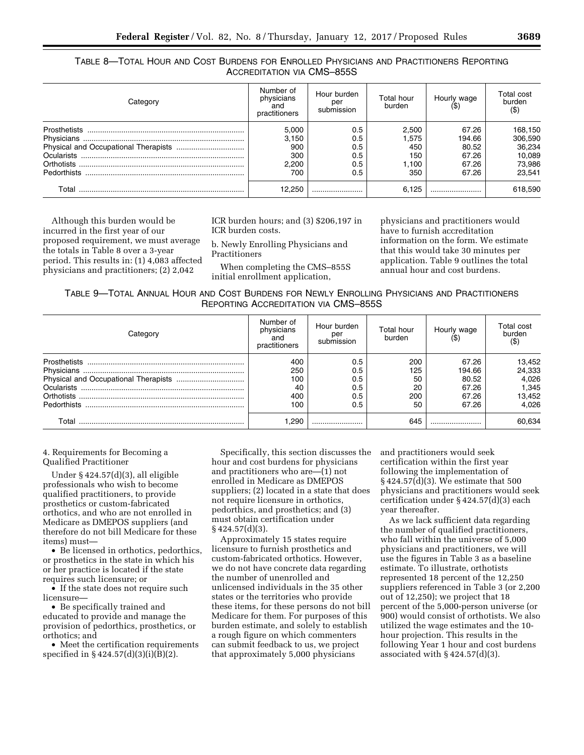| TABLE 8-TOTAL HOUR AND COST BURDENS FOR ENROLLED PHYSICIANS AND PRACTITIONERS REPORTING |                            |  |  |
|-----------------------------------------------------------------------------------------|----------------------------|--|--|
|                                                                                         | ACCREDITATION VIA CMS-855S |  |  |

| Category    | Number of<br>physicians<br>and<br>practitioners | Hour burden<br>per<br>submission | Total hour<br>burden | Hourly wage | Total cost<br>burden<br>$($ \$ |
|-------------|-------------------------------------------------|----------------------------------|----------------------|-------------|--------------------------------|
|             | 5,000                                           | 0.5                              | 2,500                | 67.26       | 168,150                        |
|             | 3,150                                           | 0.5                              | 1.575                | 194.66      | 306,590                        |
|             | 900                                             | 0.5                              | 450                  | 80.52       | 36,234                         |
|             | 300                                             | 0.5                              | 150                  | 67.26       | 10,089                         |
|             | 2,200                                           | 0.5                              | 1.100                | 67.26       | 73,986                         |
| Pedorthists | 700                                             | 0.5                              | 350                  | 67.26       | 23.541                         |
| Total       | 12.250                                          |                                  | 6.125                |             | 618,590                        |

Although this burden would be incurred in the first year of our proposed requirement, we must average the totals in Table 8 over a 3-year period. This results in: (1) 4,083 affected physicians and practitioners; (2) 2,042

ICR burden hours; and (3) \$206,197 in ICR burden costs.

b. Newly Enrolling Physicians and Practitioners

When completing the CMS–855S initial enrollment application,

physicians and practitioners would have to furnish accreditation information on the form. We estimate that this would take 30 minutes per application. Table 9 outlines the total annual hour and cost burdens.

| TABLE 9-TOTAL ANNUAL HOUR AND COST BURDENS FOR NEWLY ENROLLING PHYSICIANS AND PRACTITIONERS |  |  |                                      |  |  |
|---------------------------------------------------------------------------------------------|--|--|--------------------------------------|--|--|
|                                                                                             |  |  | REPORTING ACCREDITATION VIA CMS-855S |  |  |

| Categorv           | Number of<br>physicians<br>and<br>practitioners | Hour burden<br>per<br>submission | Total hour<br>burden | Hourly wage | Total cost<br>burden<br>$(\$)$ |
|--------------------|-------------------------------------------------|----------------------------------|----------------------|-------------|--------------------------------|
|                    | 400                                             | 0.5                              | 200                  | 67.26       | 13,452                         |
|                    | 250                                             | 0.5                              | 125                  | 194.66      | 24,333                         |
|                    | 100                                             | 0.5                              | 50                   | 80.52       | 4,026                          |
|                    | 40                                              | 0.5                              | 20                   | 67.26       | 1,345                          |
|                    | 400                                             | 0.5                              | 200                  | 67.26       | 13,452                         |
| <b>Pedorthists</b> | 100                                             | 0.5                              | 50                   | 67.26       | 4.026                          |
| Total              | .290                                            |                                  | 645                  |             | 60,634                         |

4. Requirements for Becoming a Qualified Practitioner

Under § 424.57(d)(3), all eligible professionals who wish to become qualified practitioners, to provide prosthetics or custom-fabricated orthotics, and who are not enrolled in Medicare as DMEPOS suppliers (and therefore do not bill Medicare for these items) must—

• Be licensed in orthotics, pedorthics, or prosthetics in the state in which his or her practice is located if the state requires such licensure; or

• If the state does not require such licensure—

• Be specifically trained and educated to provide and manage the provision of pedorthics, prosthetics, or orthotics; and

• Meet the certification requirements specified in § 424.57(d)(3)(i)(B)(2).

Specifically, this section discusses the hour and cost burdens for physicians and practitioners who are—(1) not enrolled in Medicare as DMEPOS suppliers; (2) located in a state that does not require licensure in orthotics, pedorthics, and prosthetics; and (3) must obtain certification under § 424.57(d)(3).

Approximately 15 states require licensure to furnish prosthetics and custom-fabricated orthotics. However, we do not have concrete data regarding the number of unenrolled and unlicensed individuals in the 35 other states or the territories who provide these items, for these persons do not bill Medicare for them. For purposes of this burden estimate, and solely to establish a rough figure on which commenters can submit feedback to us, we project that approximately 5,000 physicians

and practitioners would seek certification within the first year following the implementation of § 424.57(d)(3). We estimate that 500 physicians and practitioners would seek certification under § 424.57(d)(3) each year thereafter.

As we lack sufficient data regarding the number of qualified practitioners, who fall within the universe of 5,000 physicians and practitioners, we will use the figures in Table 3 as a baseline estimate. To illustrate, orthotists represented 18 percent of the 12,250 suppliers referenced in Table 3 (or 2,200 out of 12,250); we project that 18 percent of the 5,000-person universe (or 900) would consist of orthotists. We also utilized the wage estimates and the 10 hour projection. This results in the following Year 1 hour and cost burdens associated with  $\S 424.57(d)(3)$ .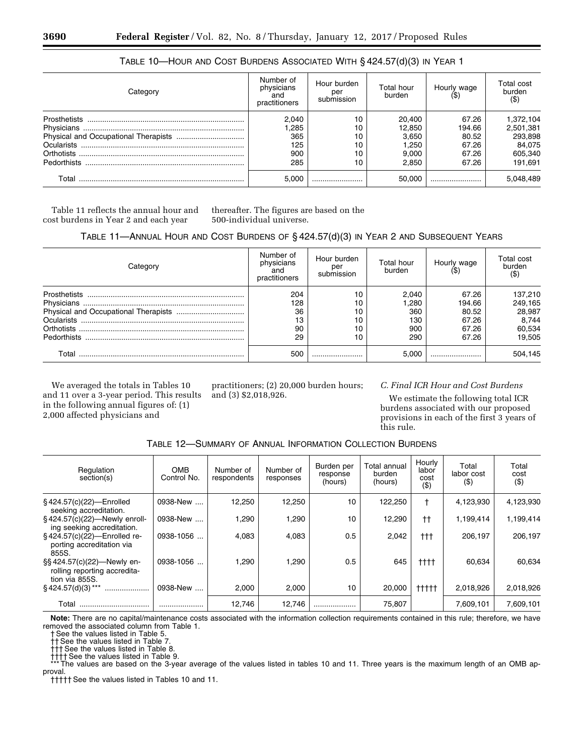| Category     | Number of<br>physicians<br>and<br>practitioners | Hour burden<br>per<br>submission | Total hour<br>burden | Hourly wage | Total cost<br>burden<br>(\$ |
|--------------|-------------------------------------------------|----------------------------------|----------------------|-------------|-----------------------------|
| Prosthetists | 2,040                                           | 10                               | 20,400               | 67.26       | 1,372,104                   |
|              | ,285                                            | 10                               | 12,850               | 194.66      | 2,501,381                   |
|              | 365                                             | 10                               | 3.650                | 80.52       | 293,898                     |
|              | 125                                             | 10                               | 1.250                | 67.26       | 84,075                      |
|              | 900                                             | 10                               | 9.000                | 67.26       | 605,340                     |
| Pedorthists  | 285                                             | 10                               | 2.850                | 67.26       | 191.691                     |
| Total        | 5.000                                           |                                  | 50.000               |             | 5,048,489                   |

# TABLE 10—HOUR AND COST BURDENS ASSOCIATED WITH § 424.57(d)(3) IN YEAR 1

Table 11 reflects the annual hour and cost burdens in Year 2 and each year

thereafter. The figures are based on the 500-individual universe.

# TABLE 11—ANNUAL HOUR AND COST BURDENS OF § 424.57(d)(3) IN YEAR 2 AND SUBSEQUENT YEARS

| Category     | Number of<br>physicians<br>and<br>practitioners | Hour burden<br>per<br>submission | Total hour<br>burden | Hourly wage | <b>Total cost</b><br>burden<br>(\$ |
|--------------|-------------------------------------------------|----------------------------------|----------------------|-------------|------------------------------------|
| Prosthetists | 204                                             | 10                               | 2.040                | 67.26       | 137,210                            |
|              | 128                                             | 10                               | 280,                 | 194.66      | 249,165                            |
|              | 36                                              | 10                               | 360                  | 80.52       | 28,987                             |
| Ocularists   | 13                                              | 10                               | 130                  | 67.26       | 8.744                              |
|              | 90                                              | 10                               | 900                  | 67.26       | 60,534                             |
| Pedorthists  | 29                                              | 10                               | 290                  | 67.26       | 19.505                             |
| Total        | 500                                             |                                  | 5.000                |             | 504.145                            |

We averaged the totals in Tables 10 and 11 over a 3-year period. This results in the following annual figures of: (1) 2,000 affected physicians and

practitioners; (2) 20,000 burden hours; and (3) \$2,018,926.

# *C. Final ICR Hour and Cost Burdens*

We estimate the following total ICR burdens associated with our proposed provisions in each of the first 3 years of this rule.

|  | Table 12—Summary of Annual Information Collection Burdens |
|--|-----------------------------------------------------------|
|--|-----------------------------------------------------------|

| Regulation<br>section(s)                                                    | <b>OMB</b><br>Control No. | Number of<br>respondents | Number of<br>responses | Burden per<br>response<br>(hours) | Total annual<br>burden<br>(hours) | Hourly<br>labor<br>cost<br>$($ \$) | Total<br>labor cost<br>$($ \$) | Total<br>cost<br>$($ \$) |
|-----------------------------------------------------------------------------|---------------------------|--------------------------|------------------------|-----------------------------------|-----------------------------------|------------------------------------|--------------------------------|--------------------------|
| $§$ 424.57(c)(22)-Enrolled<br>seeking accreditation.                        | 0938-New                  | 12,250                   | 12,250                 | 10                                | 122,250                           | t                                  | 4,123,930                      | 4,123,930                |
| $§$ 424.57(c)(22)—Newly enroll-<br>ing seeking accreditation.               | 0938-New                  | 1,290                    | 1,290                  | 10                                | 12,290                            | $^{\dagger\dagger}$                | 1,199,414                      | 1,199,414                |
| §424.57(c)(22)-Enrolled re-<br>porting accreditation via<br>855S.           | 0938-1056                 | 4.083                    | 4.083                  | 0.5                               | 2,042                             | †††                                | 206.197                        | 206,197                  |
| §§424.57(c)(22)—Newly en-<br>rolling reporting accredita-<br>tion via 855S. | 0938-1056                 | 1,290                    | 1,290                  | 0.5                               | 645                               | $t$ ttt                            | 60,634                         | 60.634                   |
| $§$ 424.57(d)(3)***<br>                                                     | 0938-New                  | 2.000                    | 2,000                  | 10                                | 20,000                            | $++++$                             | 2,018,926                      | 2,018,926                |
| Total                                                                       |                           | 12,746                   | 12.746                 |                                   | 75,807                            |                                    | 7,609,101                      | 7,609,101                |

**Note:** There are no capital/maintenance costs associated with the information collection requirements contained in this rule; therefore, we have removed the associated column from Table 1.

† See the values listed in Table 5.

†† See the values listed in Table 7.

††† See the values listed in Table 8.

†††† See the values listed in Table 9.

The values are based on the 3-year average of the values listed in tables 10 and 11. Three years is the maximum length of an OMB approval.

††††† See the values listed in Tables 10 and 11.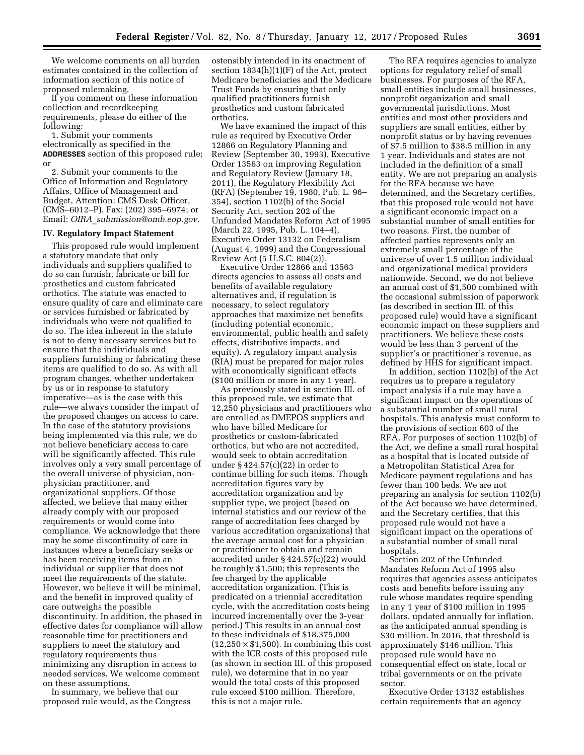We welcome comments on all burden estimates contained in the collection of information section of this notice of proposed rulemaking.

If you comment on these information collection and recordkeeping requirements, please do either of the following:

1. Submit your comments electronically as specified in the **ADDRESSES** section of this proposed rule; or

2. Submit your comments to the Office of Information and Regulatory Affairs, Office of Management and Budget, Attention: CMS Desk Officer, (CMS–6012–P), Fax: (202) 395–6974; or Email: *OIRA*\_*[submission@omb.eop.gov](mailto:OIRA_submission@omb.eop.gov)*.

### **IV. Regulatory Impact Statement**

This proposed rule would implement a statutory mandate that only individuals and suppliers qualified to do so can furnish, fabricate or bill for prosthetics and custom fabricated orthotics. The statute was enacted to ensure quality of care and eliminate care or services furnished or fabricated by individuals who were not qualified to do so. The idea inherent in the statute is not to deny necessary services but to ensure that the individuals and suppliers furnishing or fabricating these items are qualified to do so. As with all program changes, whether undertaken by us or in response to statutory imperative—as is the case with this rule—we always consider the impact of the proposed changes on access to care. In the case of the statutory provisions being implemented via this rule, we do not believe beneficiary access to care will be significantly affected. This rule involves only a very small percentage of the overall universe of physician, nonphysician practitioner, and organizational suppliers. Of those affected, we believe that many either already comply with our proposed requirements or would come into compliance. We acknowledge that there may be some discontinuity of care in instances where a beneficiary seeks or has been receiving items from an individual or supplier that does not meet the requirements of the statute. However, we believe it will be minimal, and the benefit in improved quality of care outweighs the possible discontinuity. In addition, the phased in effective dates for compliance will allow reasonable time for practitioners and suppliers to meet the statutory and regulatory requirements thus minimizing any disruption in access to needed services. We welcome comment on these assumptions.

In summary, we believe that our proposed rule would, as the Congress ostensibly intended in its enactment of section 1834(h)(1)(F) of the Act, protect Medicare beneficiaries and the Medicare Trust Funds by ensuring that only qualified practitioners furnish prosthetics and custom fabricated orthotics.

We have examined the impact of this rule as required by Executive Order 12866 on Regulatory Planning and Review (September 30, 1993), Executive Order 13563 on improving Regulation and Regulatory Review (January 18, 2011), the Regulatory Flexibility Act (RFA) (September 19, 1980, Pub. L. 96– 354), section 1102(b) of the Social Security Act, section 202 of the Unfunded Mandates Reform Act of 1995 (March 22, 1995, Pub. L. 104–4), Executive Order 13132 on Federalism (August 4, 1999) and the Congressional Review Act (5 U.S.C. 804(2)).

Executive Order 12866 and 13563 directs agencies to assess all costs and benefits of available regulatory alternatives and, if regulation is necessary, to select regulatory approaches that maximize net benefits (including potential economic, environmental, public health and safety effects, distributive impacts, and equity). A regulatory impact analysis (RIA) must be prepared for major rules with economically significant effects (\$100 million or more in any 1 year).

As previously stated in section III. of this proposed rule, we estimate that 12,250 physicians and practitioners who are enrolled as DMEPOS suppliers and who have billed Medicare for prosthetics or custom-fabricated orthotics, but who are not accredited, would seek to obtain accreditation under § 424.57(c)(22) in order to continue billing for such items. Though accreditation figures vary by accreditation organization and by supplier type, we project (based on internal statistics and our review of the range of accreditation fees charged by various accreditation organizations) that the average annual cost for a physician or practitioner to obtain and remain accredited under § 424.57(c)(22) would be roughly \$1,500; this represents the fee charged by the applicable accreditation organization. (This is predicated on a triennial accreditation cycle, with the accreditation costs being incurred incrementally over the 3-year period.) This results in an annual cost to these individuals of \$18,375,000  $(12,250 \times $1,500)$ . In combining this cost with the ICR costs of this proposed rule (as shown in section III. of this proposed rule), we determine that in no year would the total costs of this proposed rule exceed \$100 million. Therefore, this is not a major rule.

The RFA requires agencies to analyze options for regulatory relief of small businesses. For purposes of the RFA, small entities include small businesses, nonprofit organization and small governmental jurisdictions. Most entities and most other providers and suppliers are small entities, either by nonprofit status or by having revenues of \$7.5 million to \$38.5 million in any 1 year. Individuals and states are not included in the definition of a small entity. We are not preparing an analysis for the RFA because we have determined, and the Secretary certifies, that this proposed rule would not have a significant economic impact on a substantial number of small entities for two reasons. First, the number of affected parties represents only an extremely small percentage of the universe of over 1.5 million individual and organizational medical providers nationwide. Second, we do not believe an annual cost of \$1,500 combined with the occasional submission of paperwork (as described in section III. of this proposed rule) would have a significant economic impact on these suppliers and practitioners. We believe these costs would be less than 3 percent of the supplier's or practitioner's revenue, as defined by HHS for significant impact.

In addition, section 1102(b) of the Act requires us to prepare a regulatory impact analysis if a rule may have a significant impact on the operations of a substantial number of small rural hospitals. This analysis must conform to the provisions of section 603 of the RFA. For purposes of section 1102(b) of the Act, we define a small rural hospital as a hospital that is located outside of a Metropolitan Statistical Area for Medicare payment regulations and has fewer than 100 beds. We are not preparing an analysis for section 1102(b) of the Act because we have determined, and the Secretary certifies, that this proposed rule would not have a significant impact on the operations of a substantial number of small rural hospitals.

Section 202 of the Unfunded Mandates Reform Act of 1995 also requires that agencies assess anticipates costs and benefits before issuing any rule whose mandates require spending in any 1 year of \$100 million in 1995 dollars, updated annually for inflation, as the anticipated annual spending is \$30 million. In 2016, that threshold is approximately \$146 million. This proposed rule would have no consequential effect on state, local or tribal governments or on the private sector.

Executive Order 13132 establishes certain requirements that an agency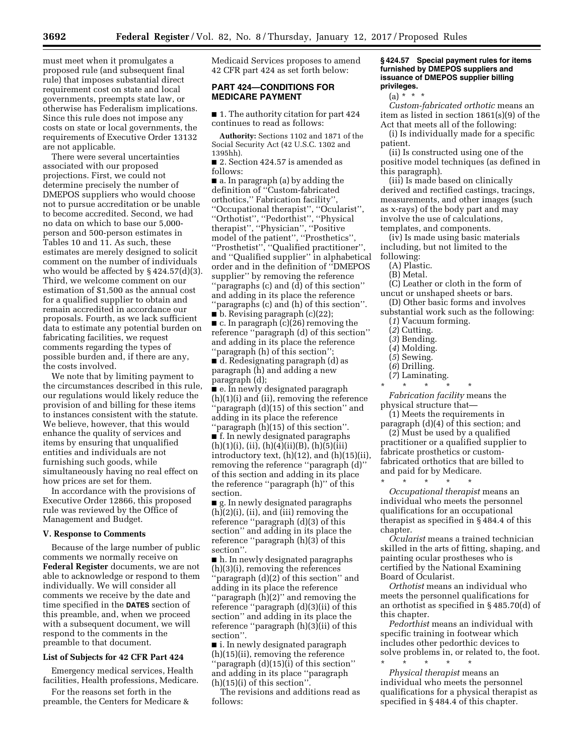must meet when it promulgates a proposed rule (and subsequent final rule) that imposes substantial direct requirement cost on state and local governments, preempts state law, or otherwise has Federalism implications. Since this rule does not impose any costs on state or local governments, the requirements of Executive Order 13132 are not applicable.

There were several uncertainties associated with our proposed projections. First, we could not determine precisely the number of DMEPOS suppliers who would choose not to pursue accreditation or be unable to become accredited. Second, we had no data on which to base our 5,000 person and 500-person estimates in Tables 10 and 11. As such, these estimates are merely designed to solicit comment on the number of individuals who would be affected by  $\S 424.57(d)(3)$ . Third, we welcome comment on our estimation of \$1,500 as the annual cost for a qualified supplier to obtain and remain accredited in accordance our proposals. Fourth, as we lack sufficient data to estimate any potential burden on fabricating facilities, we request comments regarding the types of possible burden and, if there are any, the costs involved.

We note that by limiting payment to the circumstances described in this rule, our regulations would likely reduce the provision of and billing for these items to instances consistent with the statute. We believe, however, that this would enhance the quality of services and items by ensuring that unqualified entities and individuals are not furnishing such goods, while simultaneously having no real effect on how prices are set for them.

In accordance with the provisions of Executive Order 12866, this proposed rule was reviewed by the Office of Management and Budget.

#### **V. Response to Comments**

Because of the large number of public comments we normally receive on **Federal Register** documents, we are not able to acknowledge or respond to them individually. We will consider all comments we receive by the date and time specified in the **DATES** section of this preamble, and, when we proceed with a subsequent document, we will respond to the comments in the preamble to that document.

#### **List of Subjects for 42 CFR Part 424**

Emergency medical services, Health facilities, Health professions, Medicare.

For the reasons set forth in the preamble, the Centers for Medicare & Medicaid Services proposes to amend 42 CFR part 424 as set forth below:

# **PART 424—CONDITIONS FOR MEDICARE PAYMENT**

■ 1. The authority citation for part 424 continues to read as follows:

**Authority:** Sections 1102 and 1871 of the Social Security Act (42 U.S.C. 1302 and 1395hh).

■ 2. Section 424.57 is amended as follows:

■ a. In paragraph (a) by adding the definition of ''Custom-fabricated orthotics,'' Fabrication facility'', ''Occupational therapist'', ''Ocularist'', ''Orthotist'', ''Pedorthist'', ''Physical therapist'', ''Physician'', ''Positive model of the patient'', ''Prosthetics'', ''Prosthetist'', ''Qualified practitioner'', and ''Qualified supplier'' in alphabetical order and in the definition of ''DMEPOS supplier'' by removing the reference ''paragraphs (c) and (d) of this section'' and adding in its place the reference ''paragraphs (c) and (h) of this section''.

■ b. Revising paragraph (c)(22); ■ c. In paragraph (c)(26) removing the reference ''paragraph (d) of this section'' and adding in its place the reference ''paragraph (h) of this section''; ■ d. Redesignating paragraph (d) as paragraph (h) and adding a new

paragraph (d);

■ e. In newly designated paragraph (h)(1)(i) and (ii), removing the reference ''paragraph (d)(15) of this section'' and adding in its place the reference ''paragraph (h)(15) of this section''.

■ f. In newly designated paragraphs  $(h)(1)(i)$ ,  $(ii)$ ,  $(h)(4)(ii)(B)$ ,  $(h)(5)(iii)$ introductory text, (h)(12), and (h)(15)(ii), removing the reference ''paragraph (d)'' of this section and adding in its place the reference ''paragraph (h)'' of this section.

■ g. In newly designated paragraphs (h)(2)(i), (ii), and (iii) removing the reference ''paragraph (d)(3) of this section'' and adding in its place the reference "paragraph  $(h)(3)$  of this section''.

■ h. In newly designated paragraphs (h)(3)(i), removing the references ''paragraph (d)(2) of this section'' and adding in its place the reference

''paragraph (h)(2)'' and removing the reference ''paragraph (d)(3)(ii) of this section'' and adding in its place the reference ''paragraph (h)(3)(ii) of this section''.

■ i. In newly designated paragraph (h)(15)(ii), removing the reference ''paragraph (d)(15)(i) of this section'' and adding in its place ''paragraph (h)(15)(i) of this section''.

The revisions and additions read as follows:

### **§ 424.57 Special payment rules for items furnished by DMEPOS suppliers and issuance of DMEPOS supplier billing privileges.**

 $(a) * * * *$ 

*Custom-fabricated orthotic* means an item as listed in section 1861(s)(9) of the Act that meets all of the following:

(i) Is individually made for a specific patient.

(ii) Is constructed using one of the positive model techniques (as defined in this paragraph).

(iii) Is made based on clinically derived and rectified castings, tracings, measurements, and other images (such as x-rays) of the body part and may involve the use of calculations, templates, and components.

(iv) Is made using basic materials including, but not limited to the following:

(A) Plastic.

(B) Metal.

(C) Leather or cloth in the form of uncut or unshaped sheets or bars.

(D) Other basic forms and involves substantial work such as the following: (*1*) Vacuum forming.

- (*2*) Cutting.
- (*3*) Bending.
- (*4*) Molding.
- (*5*) Sewing.
- (*6*) Drilling.
- (*7*) Laminating.
- \* \* \* \* \*

*Fabrication facility* means the physical structure that—

(1) Meets the requirements in paragraph (d)(4) of this section; and

(2) Must be used by a qualified practitioner or a qualified supplier to fabricate prosthetics or customfabricated orthotics that are billed to and paid for by Medicare.

\* \* \* \* \* *Occupational therapist* means an individual who meets the personnel qualifications for an occupational therapist as specified in § 484.4 of this chapter.

*Ocularist* means a trained technician skilled in the arts of fitting, shaping, and painting ocular prostheses who is certified by the National Examining Board of Ocularist.

*Orthotist* means an individual who meets the personnel qualifications for an orthotist as specified in § 485.70(d) of this chapter.

*Pedorthist* means an individual with specific training in footwear which includes other pedorthic devices to solve problems in, or related to, the foot. \* \* \* \* \*

*Physical therapist* means an individual who meets the personnel qualifications for a physical therapist as specified in § 484.4 of this chapter.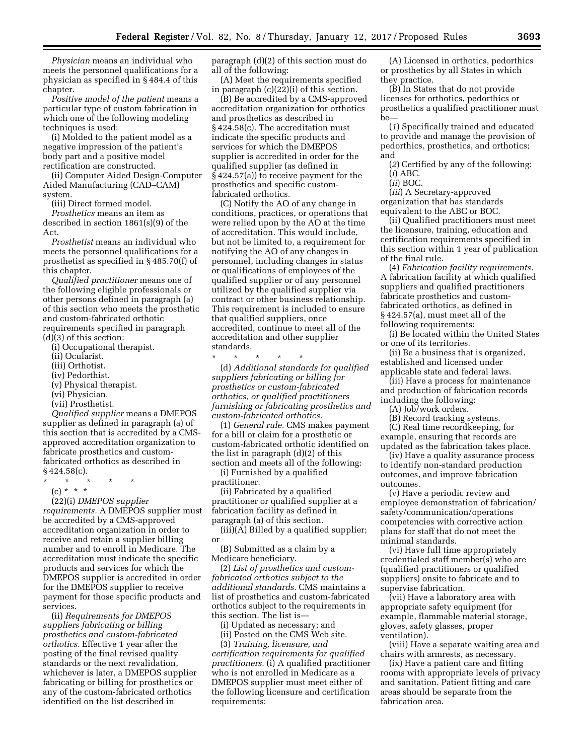*Physician* means an individual who meets the personnel qualifications for a physician as specified in § 484.4 of this chapter.

*Positive model of the patient* means a particular type of custom fabrication in which one of the following modeling techniques is used:

(i) Molded to the patient model as a negative impression of the patient's body part and a positive model rectification are constructed.

(ii) Computer Aided Design-Computer Aided Manufacturing (CAD–CAM) system.

(iii) Direct formed model.

*Prosthetics* means an item as described in section 1861(s)(9) of the Act.

*Prosthetist* means an individual who meets the personnel qualifications for a prosthetist as specified in § 485.70(f) of this chapter.

*Qualified practitioner* means one of the following eligible professionals or other persons defined in paragraph (a) of this section who meets the prosthetic and custom-fabricated orthotic requirements specified in paragraph (d)(3) of this section:

(i) Occupational therapist.

(ii) Ocularist.

(iii) Orthotist.

(iv) Pedorthist.

(v) Physical therapist.

(vi) Physician.

(vii) Prosthetist.

*Qualified supplier* means a DMEPOS supplier as defined in paragraph (a) of this section that is accredited by a CMSapproved accreditation organization to fabricate prosthetics and customfabricated orthotics as described in  $§ 424.58(c).$ 

\* \* \* \* \*

(c) \* \* \*

(22)(i) *DMEPOS supplier* 

*requirements.* A DMEPOS supplier must be accredited by a CMS-approved accreditation organization in order to receive and retain a supplier billing number and to enroll in Medicare. The accreditation must indicate the specific products and services for which the DMEPOS supplier is accredited in order for the DMEPOS supplier to receive payment for those specific products and services.

(ii) *Requirements for DMEPOS suppliers fabricating or billing prosthetics and custom-fabricated orthotics.* Effective 1 year after the posting of the final revised quality standards or the next revalidation, whichever is later, a DMEPOS supplier fabricating or billing for prosthetics or any of the custom-fabricated orthotics identified on the list described in

paragraph (d)(2) of this section must do all of the following:

(A) Meet the requirements specified in paragraph (c)(22)(i) of this section.

(B) Be accredited by a CMS-approved accreditation organization for orthotics and prosthetics as described in § 424.58(c). The accreditation must indicate the specific products and services for which the DMEPOS supplier is accredited in order for the qualified supplier (as defined in § 424.57(a)) to receive payment for the prosthetics and specific customfabricated orthotics.

(C) Notify the AO of any change in conditions, practices, or operations that were relied upon by the AO at the time of accreditation. This would include, but not be limited to, a requirement for notifying the AO of any changes in personnel, including changes in status or qualifications of employees of the qualified supplier or of any personnel utilized by the qualified supplier via contract or other business relationship. This requirement is included to ensure that qualified suppliers, once accredited, continue to meet all of the accreditation and other supplier standards.

\* \* \* \* \*

(d) *Additional standards for qualified suppliers fabricating or billing for prosthetics or custom-fabricated orthotics, or qualified practitioners furnishing or fabricating prosthetics and custom-fabricated orthotics.* 

(1) *General rule.* CMS makes payment for a bill or claim for a prosthetic or custom-fabricated orthotic identified on the list in paragraph (d)(2) of this section and meets all of the following:

(i) Furnished by a qualified practitioner.

(ii) Fabricated by a qualified practitioner or qualified supplier at a fabrication facility as defined in paragraph (a) of this section.

(iii)(A) Billed by a qualified supplier; or

(B) Submitted as a claim by a Medicare beneficiary.

(2) *List of prosthetics and customfabricated orthotics subject to the additional standards.* CMS maintains a list of prosthetics and custom-fabricated orthotics subject to the requirements in this section. The list is—

(i) Updated as necessary; and

(ii) Posted on the CMS Web site.

(3) *Training, licensure, and certification requirements for qualified practitioners.* (i) A qualified practitioner who is not enrolled in Medicare as a DMEPOS supplier must meet either of the following licensure and certification requirements:

(A) Licensed in orthotics, pedorthics or prosthetics by all States in which they practice.

(B) In States that do not provide licenses for orthotics, pedorthics or prosthetics a qualified practitioner must be—

(*1*) Specifically trained and educated to provide and manage the provision of pedorthics, prosthetics, and orthotics; and

(*2*) Certified by any of the following: (*i*) ABC.

(*ii*) BOC.

(*iii*) A Secretary-approved organization that has standards equivalent to the ABC or BOC.

(ii) Qualified practitioners must meet the licensure, training, education and certification requirements specified in this section within 1 year of publication of the final rule.

(4) *Fabrication facility requirements.*  A fabrication facility at which qualified suppliers and qualified practitioners fabricate prosthetics and customfabricated orthotics, as defined in § 424.57(a), must meet all of the following requirements:

(i) Be located within the United States or one of its territories.

(ii) Be a business that is organized, established and licensed under applicable state and federal laws.

(iii) Have a process for maintenance and production of fabrication records including the following:

(A) Job/work orders.

(B) Record tracking systems.

(C) Real time recordkeeping, for example, ensuring that records are updated as the fabrication takes place.

(iv) Have a quality assurance process to identify non-standard production outcomes, and improve fabrication outcomes.

(v) Have a periodic review and employee demonstration of fabrication/ safety/communication/operations competencies with corrective action plans for staff that do not meet the minimal standards.

(vi) Have full time appropriately credentialed staff member(s) who are (qualified practitioners or qualified suppliers) onsite to fabricate and to supervise fabrication.

(vii) Have a laboratory area with appropriate safety equipment (for example, flammable material storage, gloves, safety glasses, proper ventilation).

(viii) Have a separate waiting area and chairs with armrests, as necessary.

(ix) Have a patient care and fitting rooms with appropriate levels of privacy and sanitation. Patient fitting and care areas should be separate from the fabrication area.